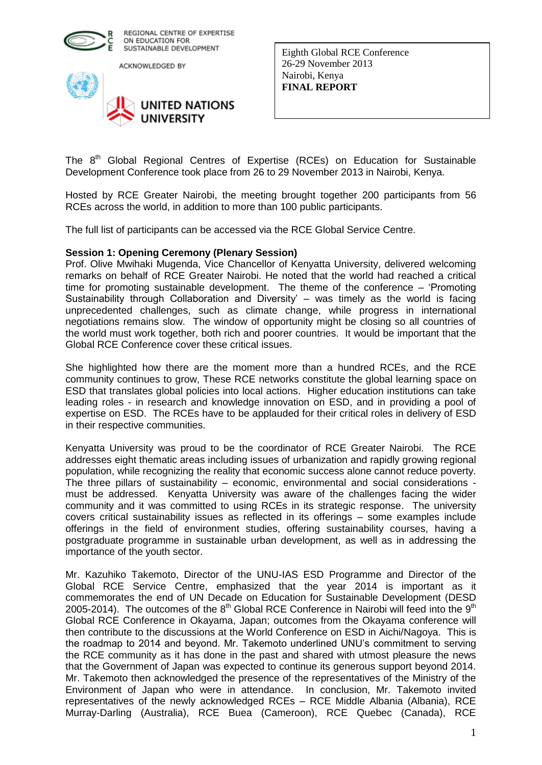

ACKNOWLEDGED BY



Eighth Global RCE Conference 26-29 November 2013 Nairobi, Kenya **FINAL REPORT** 

The 8<sup>th</sup> Global Regional Centres of Expertise (RCEs) on Education for Sustainable Development Conference took place from 26 to 29 November 2013 in Nairobi, Kenya.

Hosted by RCE Greater Nairobi, the meeting brought together 200 participants from 56 RCEs across the world, in addition to more than 100 public participants.

The full list of participants can be accessed via the RCE Global Service Centre.

#### **Session 1: Opening Ceremony (Plenary Session)**

Prof. Olive Mwihaki Mugenda, Vice Chancellor of Kenyatta University, delivered welcoming remarks on behalf of RCE Greater Nairobi. He noted that the world had reached a critical time for promoting sustainable development. The theme of the conference – 'Promoting Sustainability through Collaboration and Diversity' – was timely as the world is facing unprecedented challenges, such as climate change, while progress in international negotiations remains slow. The window of opportunity might be closing so all countries of the world must work together, both rich and poorer countries. It would be important that the Global RCE Conference cover these critical issues.

She highlighted how there are the moment more than a hundred RCEs, and the RCE community continues to grow, These RCE networks constitute the global learning space on ESD that translates global policies into local actions. Higher education institutions can take leading roles - in research and knowledge innovation on ESD, and in providing a pool of expertise on ESD. The RCEs have to be applauded for their critical roles in delivery of ESD in their respective communities.

Kenyatta University was proud to be the coordinator of RCE Greater Nairobi. The RCE addresses eight thematic areas including issues of urbanization and rapidly growing regional population, while recognizing the reality that economic success alone cannot reduce poverty. The three pillars of sustainability – economic, environmental and social considerations must be addressed. Kenyatta University was aware of the challenges facing the wider community and it was committed to using RCEs in its strategic response. The university covers critical sustainability issues as reflected in its offerings – some examples include offerings in the field of environment studies, offering sustainability courses, having a postgraduate programme in sustainable urban development, as well as in addressing the importance of the youth sector.

Mr. Kazuhiko Takemoto, Director of the UNU-IAS ESD Programme and Director of the Global RCE Service Centre, emphasized that the year 2014 is important as it commemorates the end of UN Decade on Education for Sustainable Development (DESD 2005-2014). The outcomes of the  $8<sup>th</sup>$  Global RCE Conference in Nairobi will feed into the  $9<sup>th</sup>$ Global RCE Conference in Okayama, Japan; outcomes from the Okayama conference will then contribute to the discussions at the World Conference on ESD in Aichi/Nagoya. This is the roadmap to 2014 and beyond. Mr. Takemoto underlined UNU's commitment to serving the RCE community as it has done in the past and shared with utmost pleasure the news that the Government of Japan was expected to continue its generous support beyond 2014. Mr. Takemoto then acknowledged the presence of the representatives of the Ministry of the Environment of Japan who were in attendance. In conclusion, Mr. Takemoto invited representatives of the newly acknowledged RCEs – RCE Middle Albania (Albania), RCE Murray-Darling (Australia), RCE Buea (Cameroon), RCE Quebec (Canada), RCE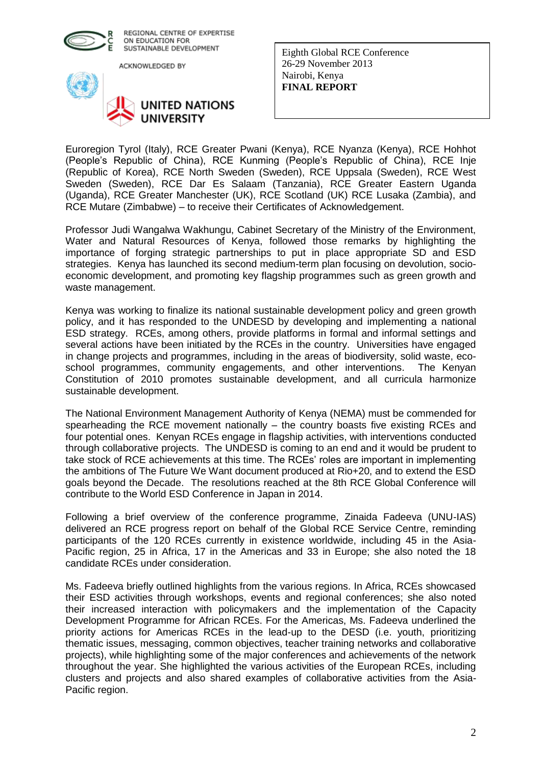

ACKNOWLEDGED BY



Eighth Global RCE Conference 26-29 November 2013 Nairobi, Kenya **FINAL REPORT** 

Euroregion Tyrol (Italy), RCE Greater Pwani (Kenya), RCE Nyanza (Kenya), RCE Hohhot (People's Republic of China), RCE Kunming (People's Republic of China), RCE Inje (Republic of Korea), RCE North Sweden (Sweden), RCE Uppsala (Sweden), RCE West Sweden (Sweden), RCE Dar Es Salaam (Tanzania), RCE Greater Eastern Uganda (Uganda), RCE Greater Manchester (UK), RCE Scotland (UK) RCE Lusaka (Zambia), and RCE Mutare (Zimbabwe) – to receive their Certificates of Acknowledgement.

Professor Judi Wangalwa Wakhungu, Cabinet Secretary of the Ministry of the Environment, Water and Natural Resources of Kenya, followed those remarks by highlighting the importance of forging strategic partnerships to put in place appropriate SD and ESD strategies. Kenya has launched its second medium-term plan focusing on devolution, socioeconomic development, and promoting key flagship programmes such as green growth and waste management.

Kenya was working to finalize its national sustainable development policy and green growth policy, and it has responded to the UNDESD by developing and implementing a national ESD strategy. RCEs, among others, provide platforms in formal and informal settings and several actions have been initiated by the RCEs in the country. Universities have engaged in change projects and programmes, including in the areas of biodiversity, solid waste, ecoschool programmes, community engagements, and other interventions. The Kenyan Constitution of 2010 promotes sustainable development, and all curricula harmonize sustainable development.

The National Environment Management Authority of Kenya (NEMA) must be commended for spearheading the RCE movement nationally – the country boasts five existing RCEs and four potential ones. Kenyan RCEs engage in flagship activities, with interventions conducted through collaborative projects. The UNDESD is coming to an end and it would be prudent to take stock of RCE achievements at this time. The RCEs' roles are important in implementing the ambitions of The Future We Want document produced at Rio+20, and to extend the ESD goals beyond the Decade. The resolutions reached at the 8th RCE Global Conference will contribute to the World ESD Conference in Japan in 2014.

Following a brief overview of the conference programme, Zinaida Fadeeva (UNU-IAS) delivered an RCE progress report on behalf of the Global RCE Service Centre, reminding participants of the 120 RCEs currently in existence worldwide, including 45 in the Asia-Pacific region, 25 in Africa, 17 in the Americas and 33 in Europe; she also noted the 18 candidate RCEs under consideration.

Ms. Fadeeva briefly outlined highlights from the various regions. In Africa, RCEs showcased their ESD activities through workshops, events and regional conferences; she also noted their increased interaction with policymakers and the implementation of the Capacity Development Programme for African RCEs. For the Americas, Ms. Fadeeva underlined the priority actions for Americas RCEs in the lead-up to the DESD (i.e. youth, prioritizing thematic issues, messaging, common objectives, teacher training networks and collaborative projects), while highlighting some of the major conferences and achievements of the network throughout the year. She highlighted the various activities of the European RCEs, including clusters and projects and also shared examples of collaborative activities from the Asia-Pacific region.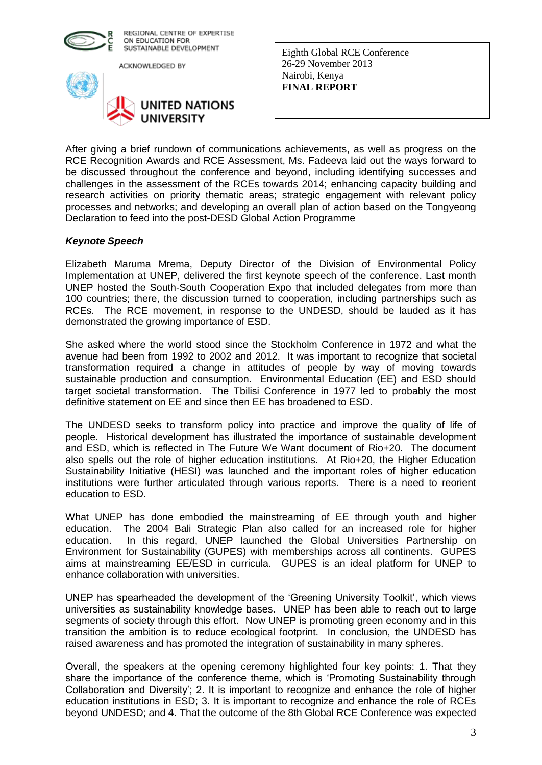

ACKNOWLEDGED BY



Eighth Global RCE Conference 26-29 November 2013 Nairobi, Kenya **FINAL REPORT** 

After giving a brief rundown of communications achievements, as well as progress on the RCE Recognition Awards and RCE Assessment, Ms. Fadeeva laid out the ways forward to be discussed throughout the conference and beyond, including identifying successes and challenges in the assessment of the RCEs towards 2014; enhancing capacity building and research activities on priority thematic areas; strategic engagement with relevant policy processes and networks; and developing an overall plan of action based on the Tongyeong Declaration to feed into the post-DESD Global Action Programme

## *Keynote Speech*

Elizabeth Maruma Mrema, Deputy Director of the Division of Environmental Policy Implementation at UNEP, delivered the first keynote speech of the conference. Last month UNEP hosted the South-South Cooperation Expo that included delegates from more than 100 countries; there, the discussion turned to cooperation, including partnerships such as RCEs. The RCE movement, in response to the UNDESD, should be lauded as it has demonstrated the growing importance of ESD.

She asked where the world stood since the Stockholm Conference in 1972 and what the avenue had been from 1992 to 2002 and 2012. It was important to recognize that societal transformation required a change in attitudes of people by way of moving towards sustainable production and consumption. Environmental Education (EE) and ESD should target societal transformation. The Tbilisi Conference in 1977 led to probably the most definitive statement on EE and since then EE has broadened to ESD.

The UNDESD seeks to transform policy into practice and improve the quality of life of people. Historical development has illustrated the importance of sustainable development and ESD, which is reflected in The Future We Want document of Rio+20. The document also spells out the role of higher education institutions. At Rio+20, the Higher Education Sustainability Initiative (HESI) was launched and the important roles of higher education institutions were further articulated through various reports. There is a need to reorient education to ESD.

What UNEP has done embodied the mainstreaming of EE through youth and higher education. The 2004 Bali Strategic Plan also called for an increased role for higher education. In this regard, UNEP launched the Global Universities Partnership on Environment for Sustainability (GUPES) with memberships across all continents. GUPES aims at mainstreaming EE/ESD in curricula. GUPES is an ideal platform for UNEP to enhance collaboration with universities.

UNEP has spearheaded the development of the 'Greening University Toolkit', which views universities as sustainability knowledge bases. UNEP has been able to reach out to large segments of society through this effort. Now UNEP is promoting green economy and in this transition the ambition is to reduce ecological footprint. In conclusion, the UNDESD has raised awareness and has promoted the integration of sustainability in many spheres.

Overall, the speakers at the opening ceremony highlighted four key points: 1. That they share the importance of the conference theme, which is 'Promoting Sustainability through Collaboration and Diversity'; 2. It is important to recognize and enhance the role of higher education institutions in ESD; 3. It is important to recognize and enhance the role of RCEs beyond UNDESD; and 4. That the outcome of the 8th Global RCE Conference was expected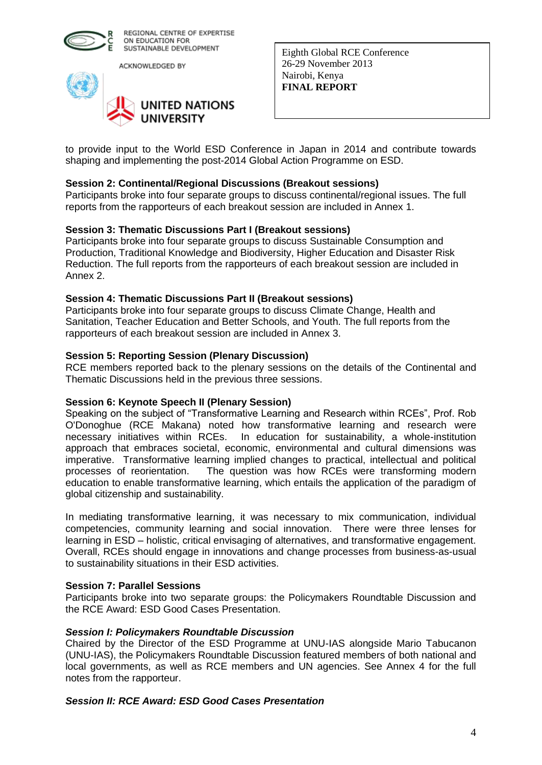

ACKNOWLEDGED BY



Eighth Global RCE Conference 26-29 November 2013 Nairobi, Kenya **FINAL REPORT** 

to provide input to the World ESD Conference in Japan in 2014 and contribute towards shaping and implementing the post-2014 Global Action Programme on ESD.

## **Session 2: Continental/Regional Discussions (Breakout sessions)**

Participants broke into four separate groups to discuss continental/regional issues. The full reports from the rapporteurs of each breakout session are included in Annex 1.

#### **Session 3: Thematic Discussions Part I (Breakout sessions)**

Participants broke into four separate groups to discuss Sustainable Consumption and Production, Traditional Knowledge and Biodiversity, Higher Education and Disaster Risk Reduction. The full reports from the rapporteurs of each breakout session are included in Annex 2.

#### **Session 4: Thematic Discussions Part II (Breakout sessions)**

Participants broke into four separate groups to discuss Climate Change, Health and Sanitation, Teacher Education and Better Schools, and Youth. The full reports from the rapporteurs of each breakout session are included in Annex 3.

#### **Session 5: Reporting Session (Plenary Discussion)**

RCE members reported back to the plenary sessions on the details of the Continental and Thematic Discussions held in the previous three sessions.

#### **Session 6: Keynote Speech II (Plenary Session)**

Speaking on the subject of "Transformative Learning and Research within RCEs", Prof. Rob O'Donoghue (RCE Makana) noted how transformative learning and research were necessary initiatives within RCEs. In education for sustainability, a whole-institution approach that embraces societal, economic, environmental and cultural dimensions was imperative. Transformative learning implied changes to practical, intellectual and political processes of reorientation. The question was how RCEs were transforming modern education to enable transformative learning, which entails the application of the paradigm of global citizenship and sustainability.

In mediating transformative learning, it was necessary to mix communication, individual competencies, community learning and social innovation. There were three lenses for learning in ESD – holistic, critical envisaging of alternatives, and transformative engagement. Overall, RCEs should engage in innovations and change processes from business-as-usual to sustainability situations in their ESD activities.

#### **Session 7: Parallel Sessions**

Participants broke into two separate groups: the Policymakers Roundtable Discussion and the RCE Award: ESD Good Cases Presentation.

#### *Session I: Policymakers Roundtable Discussion*

Chaired by the Director of the ESD Programme at UNU-IAS alongside Mario Tabucanon (UNU-IAS), the Policymakers Roundtable Discussion featured members of both national and local governments, as well as RCE members and UN agencies. See Annex 4 for the full notes from the rapporteur.

#### *Session II: RCE Award: ESD Good Cases Presentation*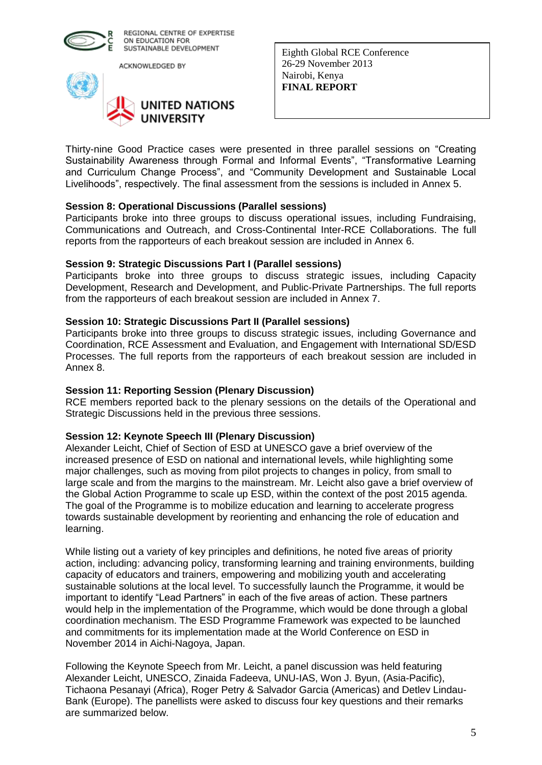

ACKNOWLEDGED BY



Eighth Global RCE Conference 26-29 November 2013 Nairobi, Kenya **FINAL REPORT** 

Thirty-nine Good Practice cases were presented in three parallel sessions on "Creating Sustainability Awareness through Formal and Informal Events", "Transformative Learning and Curriculum Change Process", and "Community Development and Sustainable Local Livelihoods", respectively. The final assessment from the sessions is included in Annex 5.

## **Session 8: Operational Discussions (Parallel sessions)**

Participants broke into three groups to discuss operational issues, including Fundraising, Communications and Outreach, and Cross-Continental Inter-RCE Collaborations. The full reports from the rapporteurs of each breakout session are included in Annex 6.

#### **Session 9: Strategic Discussions Part I (Parallel sessions)**

Participants broke into three groups to discuss strategic issues, including Capacity Development, Research and Development, and Public-Private Partnerships. The full reports from the rapporteurs of each breakout session are included in Annex 7.

#### **Session 10: Strategic Discussions Part II (Parallel sessions)**

Participants broke into three groups to discuss strategic issues, including Governance and Coordination, RCE Assessment and Evaluation, and Engagement with International SD/ESD Processes. The full reports from the rapporteurs of each breakout session are included in Annex 8.

#### **Session 11: Reporting Session (Plenary Discussion)**

RCE members reported back to the plenary sessions on the details of the Operational and Strategic Discussions held in the previous three sessions.

## **Session 12: Keynote Speech III (Plenary Discussion)**

Alexander Leicht, Chief of Section of ESD at UNESCO gave a brief overview of the increased presence of ESD on national and international levels, while highlighting some major challenges, such as moving from pilot projects to changes in policy, from small to large scale and from the margins to the mainstream. Mr. Leicht also gave a brief overview of the Global Action Programme to scale up ESD, within the context of the post 2015 agenda. The goal of the Programme is to mobilize education and learning to accelerate progress towards sustainable development by reorienting and enhancing the role of education and learning.

While listing out a variety of key principles and definitions, he noted five areas of priority action, including: advancing policy, transforming learning and training environments, building capacity of educators and trainers, empowering and mobilizing youth and accelerating sustainable solutions at the local level. To successfully launch the Programme, it would be important to identify "Lead Partners" in each of the five areas of action. These partners would help in the implementation of the Programme, which would be done through a global coordination mechanism. The ESD Programme Framework was expected to be launched and commitments for its implementation made at the World Conference on ESD in November 2014 in Aichi-Nagoya, Japan.

Following the Keynote Speech from Mr. Leicht, a panel discussion was held featuring Alexander Leicht, UNESCO, Zinaida Fadeeva, UNU-IAS, Won J. Byun, (Asia-Pacific), Tichaona Pesanayi (Africa), Roger Petry & Salvador Garcia (Americas) and Detlev Lindau-Bank (Europe). The panellists were asked to discuss four key questions and their remarks are summarized below.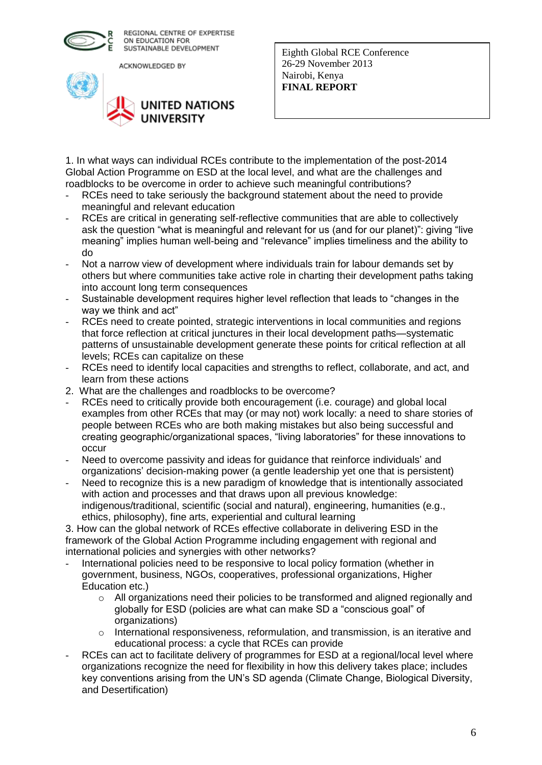

ACKNOWLEDGED BY



Eighth Global RCE Conference 26-29 November 2013 Nairobi, Kenya **FINAL REPORT** 

1. In what ways can individual RCEs contribute to the implementation of the post-2014 Global Action Programme on ESD at the local level, and what are the challenges and roadblocks to be overcome in order to achieve such meaningful contributions?

- RCEs need to take seriously the background statement about the need to provide meaningful and relevant education
- RCEs are critical in generating self-reflective communities that are able to collectively ask the question "what is meaningful and relevant for us (and for our planet)": giving "live meaning" implies human well-being and "relevance" implies timeliness and the ability to do
- Not a narrow view of development where individuals train for labour demands set by others but where communities take active role in charting their development paths taking into account long term consequences
- Sustainable development requires higher level reflection that leads to "changes in the way we think and act"
- RCEs need to create pointed, strategic interventions in local communities and regions that force reflection at critical junctures in their local development paths—systematic patterns of unsustainable development generate these points for critical reflection at all levels; RCEs can capitalize on these
- RCEs need to identify local capacities and strengths to reflect, collaborate, and act, and learn from these actions
- 2. What are the challenges and roadblocks to be overcome?
- RCEs need to critically provide both encouragement (i.e. courage) and global local examples from other RCEs that may (or may not) work locally: a need to share stories of people between RCEs who are both making mistakes but also being successful and creating geographic/organizational spaces, "living laboratories" for these innovations to occur
- Need to overcome passivity and ideas for guidance that reinforce individuals' and organizations' decision-making power (a gentle leadership yet one that is persistent)
- Need to recognize this is a new paradigm of knowledge that is intentionally associated with action and processes and that draws upon all previous knowledge: indigenous/traditional, scientific (social and natural), engineering, humanities (e.g., ethics, philosophy), fine arts, experiential and cultural learning

3. How can the global network of RCEs effective collaborate in delivering ESD in the framework of the Global Action Programme including engagement with regional and international policies and synergies with other networks?

- International policies need to be responsive to local policy formation (whether in government, business, NGOs, cooperatives, professional organizations, Higher Education etc.)
	- $\circ$  All organizations need their policies to be transformed and aligned regionally and globally for ESD (policies are what can make SD a "conscious goal" of organizations)
	- $\circ$  International responsiveness, reformulation, and transmission, is an iterative and educational process: a cycle that RCEs can provide
- RCEs can act to facilitate delivery of programmes for ESD at a regional/local level where organizations recognize the need for flexibility in how this delivery takes place; includes key conventions arising from the UN's SD agenda (Climate Change, Biological Diversity, and Desertification)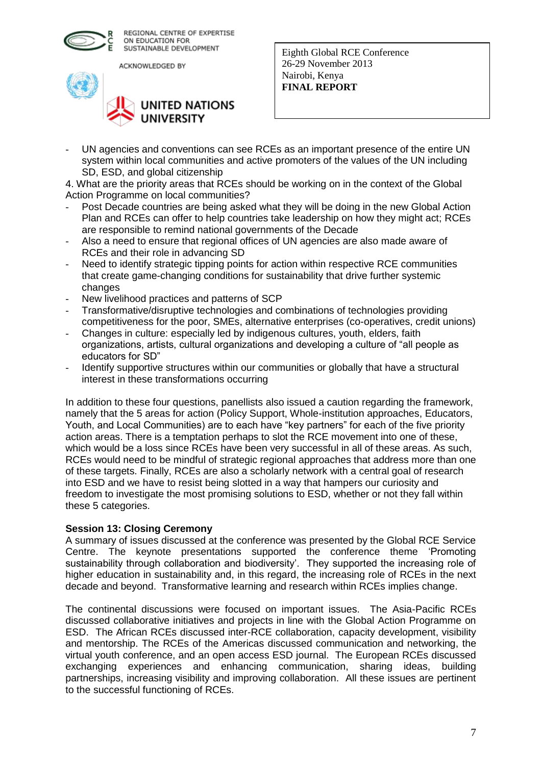

ACKNOWLEDGED BY



Eighth Global RCE Conference 26-29 November 2013 Nairobi, Kenya **FINAL REPORT** 

UN agencies and conventions can see RCEs as an important presence of the entire UN system within local communities and active promoters of the values of the UN including SD, ESD, and global citizenship

4. What are the priority areas that RCEs should be working on in the context of the Global Action Programme on local communities?

- Post Decade countries are being asked what they will be doing in the new Global Action Plan and RCEs can offer to help countries take leadership on how they might act; RCEs are responsible to remind national governments of the Decade
- Also a need to ensure that regional offices of UN agencies are also made aware of RCEs and their role in advancing SD
- Need to identify strategic tipping points for action within respective RCE communities that create game-changing conditions for sustainability that drive further systemic changes
- New livelihood practices and patterns of SCP
- Transformative/disruptive technologies and combinations of technologies providing competitiveness for the poor, SMEs, alternative enterprises (co-operatives, credit unions)
- Changes in culture: especially led by indigenous cultures, youth, elders, faith organizations, artists, cultural organizations and developing a culture of "all people as educators for SD"
- Identify supportive structures within our communities or globally that have a structural interest in these transformations occurring

In addition to these four questions, panellists also issued a caution regarding the framework, namely that the 5 areas for action (Policy Support, Whole-institution approaches, Educators, Youth, and Local Communities) are to each have "key partners" for each of the five priority action areas. There is a temptation perhaps to slot the RCE movement into one of these, which would be a loss since RCEs have been very successful in all of these areas. As such, RCEs would need to be mindful of strategic regional approaches that address more than one of these targets. Finally, RCEs are also a scholarly network with a central goal of research into ESD and we have to resist being slotted in a way that hampers our curiosity and freedom to investigate the most promising solutions to ESD, whether or not they fall within these 5 categories.

## **Session 13: Closing Ceremony**

A summary of issues discussed at the conference was presented by the Global RCE Service Centre. The keynote presentations supported the conference theme 'Promoting sustainability through collaboration and biodiversity'. They supported the increasing role of higher education in sustainability and, in this regard, the increasing role of RCEs in the next decade and beyond. Transformative learning and research within RCEs implies change.

The continental discussions were focused on important issues. The Asia-Pacific RCEs discussed collaborative initiatives and projects in line with the Global Action Programme on ESD. The African RCEs discussed inter-RCE collaboration, capacity development, visibility and mentorship. The RCEs of the Americas discussed communication and networking, the virtual youth conference, and an open access ESD journal. The European RCEs discussed exchanging experiences and enhancing communication, sharing ideas, building partnerships, increasing visibility and improving collaboration. All these issues are pertinent to the successful functioning of RCEs.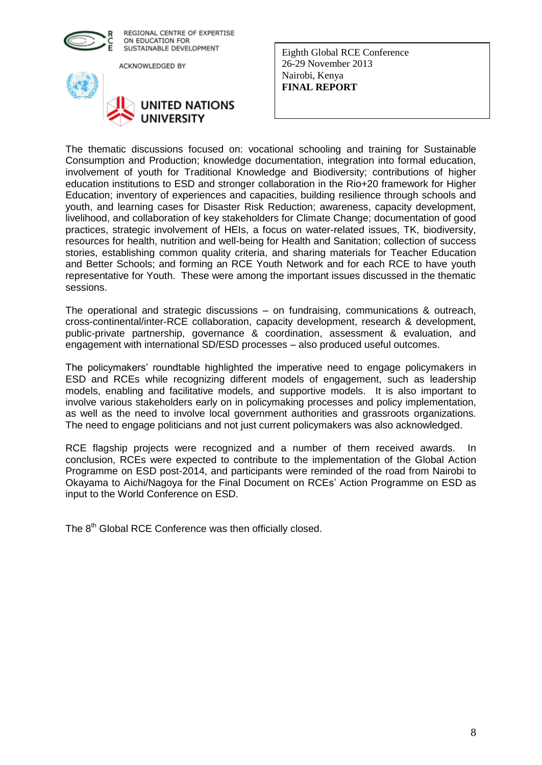

ACKNOWLEDGED BY



Eighth Global RCE Conference 26-29 November 2013 Nairobi, Kenya **FINAL REPORT** 

The thematic discussions focused on: vocational schooling and training for Sustainable Consumption and Production; knowledge documentation, integration into formal education, involvement of youth for Traditional Knowledge and Biodiversity; contributions of higher education institutions to ESD and stronger collaboration in the Rio+20 framework for Higher Education; inventory of experiences and capacities, building resilience through schools and youth, and learning cases for Disaster Risk Reduction; awareness, capacity development, livelihood, and collaboration of key stakeholders for Climate Change; documentation of good practices, strategic involvement of HEIs, a focus on water-related issues, TK, biodiversity, resources for health, nutrition and well-being for Health and Sanitation; collection of success stories, establishing common quality criteria, and sharing materials for Teacher Education and Better Schools; and forming an RCE Youth Network and for each RCE to have youth representative for Youth. These were among the important issues discussed in the thematic sessions.

The operational and strategic discussions – on fundraising, communications & outreach, cross-continental/inter-RCE collaboration, capacity development, research & development, public-private partnership, governance & coordination, assessment & evaluation, and engagement with international SD/ESD processes – also produced useful outcomes.

The policymakers' roundtable highlighted the imperative need to engage policymakers in ESD and RCEs while recognizing different models of engagement, such as leadership models, enabling and facilitative models, and supportive models. It is also important to involve various stakeholders early on in policymaking processes and policy implementation, as well as the need to involve local government authorities and grassroots organizations. The need to engage politicians and not just current policymakers was also acknowledged.

RCE flagship projects were recognized and a number of them received awards. In conclusion, RCEs were expected to contribute to the implementation of the Global Action Programme on ESD post-2014, and participants were reminded of the road from Nairobi to Okayama to Aichi/Nagoya for the Final Document on RCEs' Action Programme on ESD as input to the World Conference on ESD.

The 8<sup>th</sup> Global RCE Conference was then officially closed.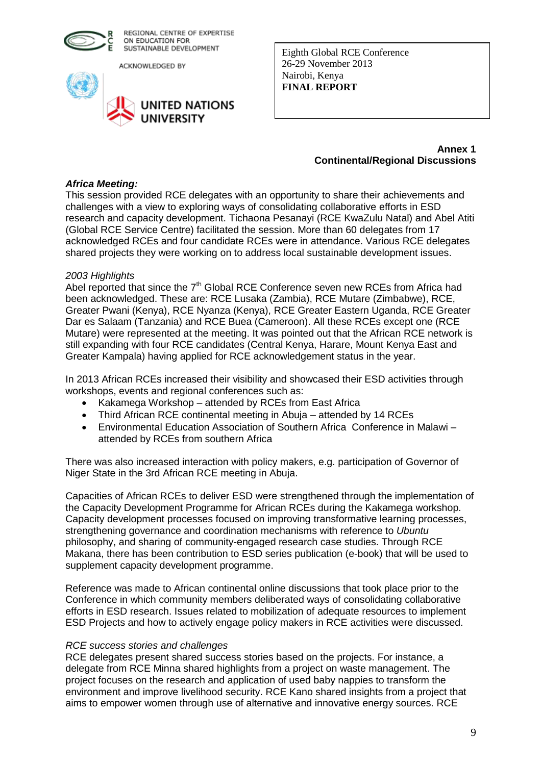

ACKNOWLEDGED BY



Eighth Global RCE Conference 26-29 November 2013 Nairobi, Kenya **FINAL REPORT** 

> **Annex 1 Continental/Regional Discussions**

#### *Africa Meeting:*

This session provided RCE delegates with an opportunity to share their achievements and challenges with a view to exploring ways of consolidating collaborative efforts in ESD research and capacity development. Tichaona Pesanayi (RCE KwaZulu Natal) and Abel Atiti (Global RCE Service Centre) facilitated the session. More than 60 delegates from 17 acknowledged RCEs and four candidate RCEs were in attendance. Various RCE delegates shared projects they were working on to address local sustainable development issues.

#### *2003 Highlights*

Abel reported that since the 7<sup>th</sup> Global RCE Conference seven new RCEs from Africa had been acknowledged. These are: RCE Lusaka (Zambia), RCE Mutare (Zimbabwe), RCE, Greater Pwani (Kenya), RCE Nyanza (Kenya), RCE Greater Eastern Uganda, RCE Greater Dar es Salaam (Tanzania) and RCE Buea (Cameroon). All these RCEs except one (RCE Mutare) were represented at the meeting. It was pointed out that the African RCE network is still expanding with four RCE candidates (Central Kenya, Harare, Mount Kenya East and Greater Kampala) having applied for RCE acknowledgement status in the year.

In 2013 African RCEs increased their visibility and showcased their ESD activities through workshops, events and regional conferences such as:

- Kakamega Workshop attended by RCEs from East Africa
- Third African RCE continental meeting in Abuja attended by 14 RCEs
- Environmental Education Association of Southern Africa Conference in Malawi attended by RCEs from southern Africa

There was also increased interaction with policy makers, e.g. participation of Governor of Niger State in the 3rd African RCE meeting in Abuja.

Capacities of African RCEs to deliver ESD were strengthened through the implementation of the Capacity Development Programme for African RCEs during the Kakamega workshop. Capacity development processes focused on improving transformative learning processes, strengthening governance and coordination mechanisms with reference to *Ubuntu* philosophy, and sharing of community-engaged research case studies. Through RCE Makana, there has been contribution to ESD series publication (e-book) that will be used to supplement capacity development programme.

Reference was made to African continental online discussions that took place prior to the Conference in which community members deliberated ways of consolidating collaborative efforts in ESD research. Issues related to mobilization of adequate resources to implement ESD Projects and how to actively engage policy makers in RCE activities were discussed.

#### *RCE success stories and challenges*

RCE delegates present shared success stories based on the projects. For instance, a delegate from RCE Minna shared highlights from a project on waste management. The project focuses on the research and application of used baby nappies to transform the environment and improve livelihood security. RCE Kano shared insights from a project that aims to empower women through use of alternative and innovative energy sources. RCE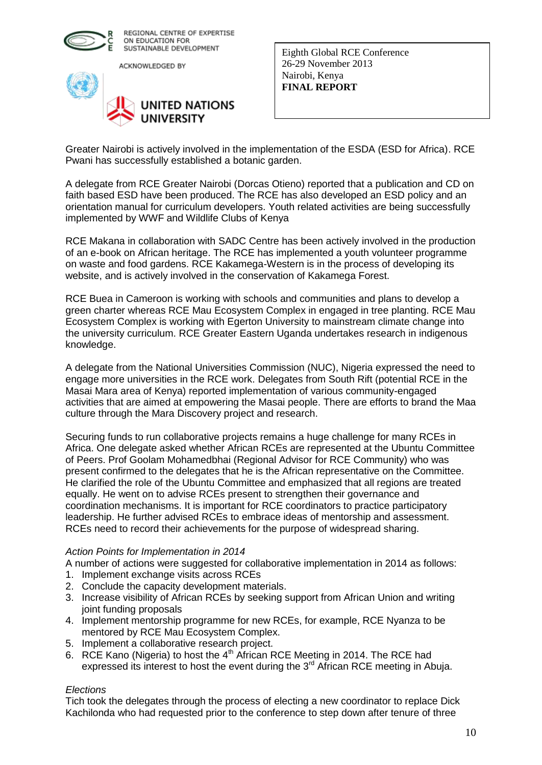

ACKNOWLEDGED BY



Eighth Global RCE Conference 26-29 November 2013 Nairobi, Kenya **FINAL REPORT** 

Greater Nairobi is actively involved in the implementation of the ESDA (ESD for Africa). RCE Pwani has successfully established a botanic garden.

A delegate from RCE Greater Nairobi (Dorcas Otieno) reported that a publication and CD on faith based ESD have been produced. The RCE has also developed an ESD policy and an orientation manual for curriculum developers. Youth related activities are being successfully implemented by WWF and Wildlife Clubs of Kenya

RCE Makana in collaboration with SADC Centre has been actively involved in the production of an e-book on African heritage. The RCE has implemented a youth volunteer programme on waste and food gardens. RCE Kakamega-Western is in the process of developing its website, and is actively involved in the conservation of Kakamega Forest.

RCE Buea in Cameroon is working with schools and communities and plans to develop a green charter whereas RCE Mau Ecosystem Complex in engaged in tree planting. RCE Mau Ecosystem Complex is working with Egerton University to mainstream climate change into the university curriculum. RCE Greater Eastern Uganda undertakes research in indigenous knowledge.

A delegate from the National Universities Commission (NUC), Nigeria expressed the need to engage more universities in the RCE work. Delegates from South Rift (potential RCE in the Masai Mara area of Kenya) reported implementation of various community-engaged activities that are aimed at empowering the Masai people. There are efforts to brand the Maa culture through the Mara Discovery project and research.

Securing funds to run collaborative projects remains a huge challenge for many RCEs in Africa. One delegate asked whether African RCEs are represented at the Ubuntu Committee of Peers. Prof Goolam Mohamedbhai (Regional Advisor for RCE Community) who was present confirmed to the delegates that he is the African representative on the Committee. He clarified the role of the Ubuntu Committee and emphasized that all regions are treated equally. He went on to advise RCEs present to strengthen their governance and coordination mechanisms. It is important for RCE coordinators to practice participatory leadership. He further advised RCEs to embrace ideas of mentorship and assessment. RCEs need to record their achievements for the purpose of widespread sharing.

#### *Action Points for Implementation in 2014*

A number of actions were suggested for collaborative implementation in 2014 as follows:

- 1. Implement exchange visits across RCEs
- 2. Conclude the capacity development materials.
- 3. Increase visibility of African RCEs by seeking support from African Union and writing joint funding proposals
- 4. Implement mentorship programme for new RCEs, for example, RCE Nyanza to be mentored by RCE Mau Ecosystem Complex.
- 5. Implement a collaborative research project.
- 6. RCE Kano (Nigeria) to host the 4<sup>th</sup> African RCE Meeting in 2014. The RCE had expressed its interest to host the event during the  $3<sup>rd</sup>$  African RCE meeting in Abuja.

#### *Elections*

Tich took the delegates through the process of electing a new coordinator to replace Dick Kachilonda who had requested prior to the conference to step down after tenure of three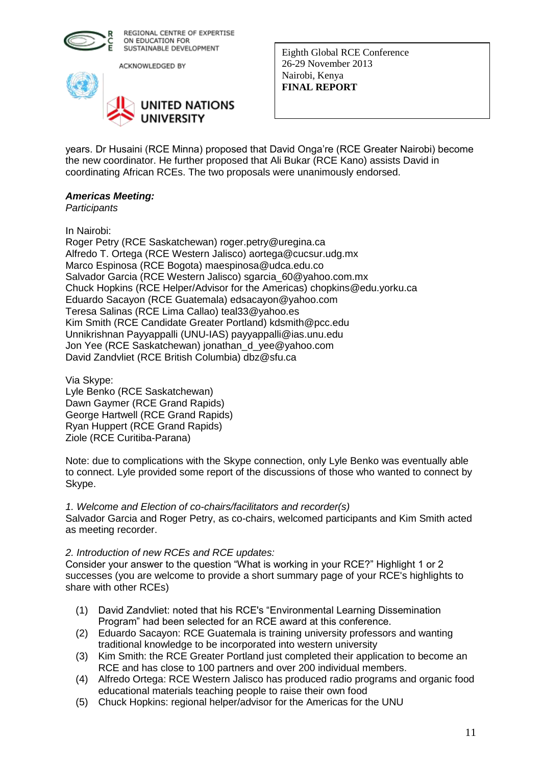

ACKNOWLEDGED BY



Eighth Global RCE Conference 26-29 November 2013 Nairobi, Kenya **FINAL REPORT** 

years. Dr Husaini (RCE Minna) proposed that David Onga're (RCE Greater Nairobi) become the new coordinator. He further proposed that Ali Bukar (RCE Kano) assists David in coordinating African RCEs. The two proposals were unanimously endorsed.

## *Americas Meeting:*

*Participants*

In Nairobi:

Roger Petry (RCE Saskatchewan) roger.petry@uregina.ca Alfredo T. Ortega (RCE Western Jalisco) aortega@cucsur.udg.mx Marco Espinosa (RCE Bogota) maespinosa@udca.edu.co Salvador Garcia (RCE Western Jalisco) sgarcia\_60@yahoo.com.mx Chuck Hopkins (RCE Helper/Advisor for the Americas) chopkins@edu.yorku.ca Eduardo Sacayon (RCE Guatemala) edsacayon@yahoo.com Teresa Salinas (RCE Lima Callao) teal33@yahoo.es Kim Smith (RCE Candidate Greater Portland) kdsmith@pcc.edu Unnikrishnan Payyappalli (UNU-IAS) payyappalli@ias.unu.edu Jon Yee (RCE Saskatchewan) jonathan\_d\_yee@yahoo.com David Zandvliet (RCE British Columbia) dbz@sfu.ca

Via Skype: Lyle Benko (RCE Saskatchewan) Dawn Gaymer (RCE Grand Rapids) George Hartwell (RCE Grand Rapids) Ryan Huppert (RCE Grand Rapids) Ziole (RCE Curitiba-Parana)

Note: due to complications with the Skype connection, only Lyle Benko was eventually able to connect. Lyle provided some report of the discussions of those who wanted to connect by Skype.

## *1. Welcome and Election of co-chairs/facilitators and recorder(s)*

Salvador Garcia and Roger Petry, as co-chairs, welcomed participants and Kim Smith acted as meeting recorder.

## *2. Introduction of new RCEs and RCE updates:*

Consider your answer to the question "What is working in your RCE?" Highlight 1 or 2 successes (you are welcome to provide a short summary page of your RCE's highlights to share with other RCEs)

- (1) David Zandvliet: noted that his RCE's "Environmental Learning Dissemination Program" had been selected for an RCE award at this conference.
- (2) Eduardo Sacayon: RCE Guatemala is training university professors and wanting traditional knowledge to be incorporated into western university
- (3) Kim Smith: the RCE Greater Portland just completed their application to become an RCE and has close to 100 partners and over 200 individual members.
- (4) Alfredo Ortega: RCE Western Jalisco has produced radio programs and organic food educational materials teaching people to raise their own food
- (5) Chuck Hopkins: regional helper/advisor for the Americas for the UNU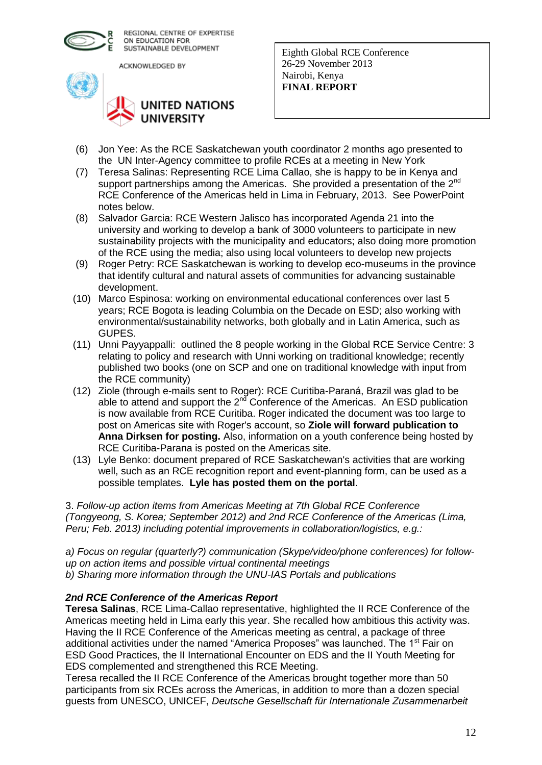

ACKNOWLEDGED BY



Eighth Global RCE Conference 26-29 November 2013 Nairobi, Kenya **FINAL REPORT** 

- (6) Jon Yee: As the RCE Saskatchewan youth coordinator 2 months ago presented to the UN Inter-Agency committee to profile RCEs at a meeting in New York
- (7) Teresa Salinas: Representing RCE Lima Callao, she is happy to be in Kenya and support partnerships among the Americas. She provided a presentation of the 2<sup>nd</sup> RCE Conference of the Americas held in Lima in February, 2013. See PowerPoint notes below.
- (8) Salvador Garcia: RCE Western Jalisco has incorporated Agenda 21 into the university and working to develop a bank of 3000 volunteers to participate in new sustainability projects with the municipality and educators; also doing more promotion of the RCE using the media; also using local volunteers to develop new projects
- (9) Roger Petry: RCE Saskatchewan is working to develop eco-museums in the province that identify cultural and natural assets of communities for advancing sustainable development.
- (10) Marco Espinosa: working on environmental educational conferences over last 5 years; RCE Bogota is leading Columbia on the Decade on ESD; also working with environmental/sustainability networks, both globally and in Latin America, such as GUPES.
- (11) Unni Payyappalli: outlined the 8 people working in the Global RCE Service Centre: 3 relating to policy and research with Unni working on traditional knowledge; recently published two books (one on SCP and one on traditional knowledge with input from the RCE community)
- (12) Ziole (through e-mails sent to Roger): RCE Curitiba-Paraná, Brazil was glad to be able to attend and support the  $2^{n\bar{d}}$  Conference of the Americas. An ESD publication is now available from RCE Curitiba. Roger indicated the document was too large to post on Americas site with Roger's account, so **Ziole will forward publication to Anna Dirksen for posting.** Also, information on a youth conference being hosted by RCE Curitiba-Parana is posted on the Americas site.
- (13) Lyle Benko: document prepared of RCE Saskatchewan's activities that are working well, such as an RCE recognition report and event-planning form, can be used as a possible templates. **Lyle has posted them on the portal**.

3. *Follow-up action items from Americas Meeting at 7th Global RCE Conference (Tongyeong, S. Korea; September 2012) and 2nd RCE Conference of the Americas (Lima, Peru; Feb. 2013) including potential improvements in collaboration/logistics, e.g.:*

*a) Focus on regular (quarterly?) communication (Skype/video/phone conferences) for followup on action items and possible virtual continental meetings b) Sharing more information through the UNU-IAS Portals and publications*

## *2nd RCE Conference of the Americas Report*

**Teresa Salinas**, RCE Lima-Callao representative, highlighted the II RCE Conference of the Americas meeting held in Lima early this year. She recalled how ambitious this activity was. Having the II RCE Conference of the Americas meeting as central, a package of three additional activities under the named "America Proposes" was launched. The 1<sup>st</sup> Fair on ESD Good Practices, the II International Encounter on EDS and the II Youth Meeting for EDS complemented and strengthened this RCE Meeting.

Teresa recalled the II RCE Conference of the Americas brought together more than 50 participants from six RCEs across the Americas, in addition to more than a dozen special guests from UNESCO, UNICEF, *Deutsche Gesellschaft für Internationale Zusammenarbeit*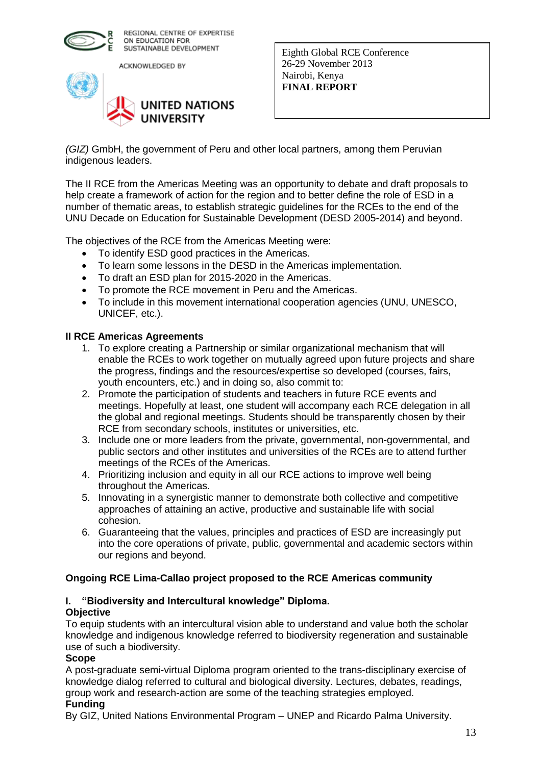

ACKNOWLEDGED BY



Eighth Global RCE Conference 26-29 November 2013 Nairobi, Kenya **FINAL REPORT** 

*(GIZ)* GmbH, the government of Peru and other local partners, among them Peruvian indigenous leaders.

The II RCE from the Americas Meeting was an opportunity to debate and draft proposals to help create a framework of action for the region and to better define the role of ESD in a number of thematic areas, to establish strategic guidelines for the RCEs to the end of the UNU Decade on Education for Sustainable Development (DESD 2005-2014) and beyond.

The objectives of the RCE from the Americas Meeting were:

- To identify ESD good practices in the Americas.
- To learn some lessons in the DESD in the Americas implementation.
- To draft an ESD plan for 2015-2020 in the Americas.
- To promote the RCE movement in Peru and the Americas.
- To include in this movement international cooperation agencies (UNU, UNESCO, UNICEF, etc.).

## **II RCE Americas Agreements**

- 1. To explore creating a Partnership or similar organizational mechanism that will enable the RCEs to work together on mutually agreed upon future projects and share the progress, findings and the resources/expertise so developed (courses, fairs, youth encounters, etc.) and in doing so, also commit to:
- 2. Promote the participation of students and teachers in future RCE events and meetings. Hopefully at least, one student will accompany each RCE delegation in all the global and regional meetings. Students should be transparently chosen by their RCE from secondary schools, institutes or universities, etc.
- 3. Include one or more leaders from the private, governmental, non-governmental, and public sectors and other institutes and universities of the RCEs are to attend further meetings of the RCEs of the Americas.
- 4. Prioritizing inclusion and equity in all our RCE actions to improve well being throughout the Americas.
- 5. Innovating in a synergistic manner to demonstrate both collective and competitive approaches of attaining an active, productive and sustainable life with social cohesion.
- 6. Guaranteeing that the values, principles and practices of ESD are increasingly put into the core operations of private, public, governmental and academic sectors within our regions and beyond.

## **Ongoing RCE Lima-Callao project proposed to the RCE Americas community**

## **I. "Biodiversity and Intercultural knowledge" Diploma. Objective**

To equip students with an intercultural vision able to understand and value both the scholar knowledge and indigenous knowledge referred to biodiversity regeneration and sustainable use of such a biodiversity.

## **Scope**

A post-graduate semi-virtual Diploma program oriented to the trans-disciplinary exercise of knowledge dialog referred to cultural and biological diversity. Lectures, debates, readings, group work and research-action are some of the teaching strategies employed.

## **Funding**

By GIZ, United Nations Environmental Program – UNEP and Ricardo Palma University.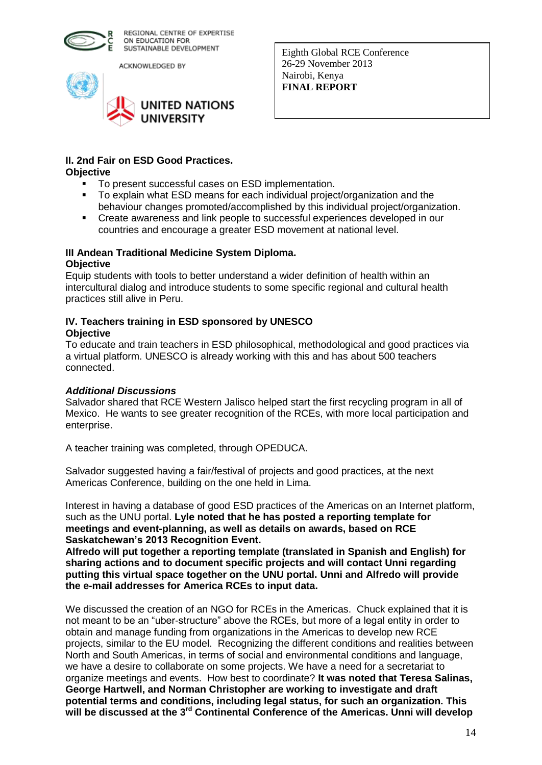

ACKNOWLEDGED BY



Eighth Global RCE Conference 26-29 November 2013 Nairobi, Kenya **FINAL REPORT** 

#### **II. 2nd Fair on ESD Good Practices. Objective**

- **To present successful cases on ESD implementation.**
- To explain what ESD means for each individual project/organization and the behaviour changes promoted/accomplished by this individual project/organization.
- Create awareness and link people to successful experiences developed in our countries and encourage a greater ESD movement at national level.

## **III Andean Traditional Medicine System Diploma. Objective**

Equip students with tools to better understand a wider definition of health within an intercultural dialog and introduce students to some specific regional and cultural health practices still alive in Peru.

## **IV. Teachers training in ESD sponsored by UNESCO Objective**

To educate and train teachers in ESD philosophical, methodological and good practices via a virtual platform. UNESCO is already working with this and has about 500 teachers connected.

## *Additional Discussions*

Salvador shared that RCE Western Jalisco helped start the first recycling program in all of Mexico. He wants to see greater recognition of the RCEs, with more local participation and enterprise.

A teacher training was completed, through OPEDUCA.

Salvador suggested having a fair/festival of projects and good practices, at the next Americas Conference, building on the one held in Lima.

Interest in having a database of good ESD practices of the Americas on an Internet platform, such as the UNU portal. **Lyle noted that he has posted a reporting template for meetings and event-planning, as well as details on awards, based on RCE Saskatchewan's 2013 Recognition Event.**

**Alfredo will put together a reporting template (translated in Spanish and English) for sharing actions and to document specific projects and will contact Unni regarding putting this virtual space together on the UNU portal. Unni and Alfredo will provide the e-mail addresses for America RCEs to input data.** 

We discussed the creation of an NGO for RCEs in the Americas. Chuck explained that it is not meant to be an "uber-structure" above the RCEs, but more of a legal entity in order to obtain and manage funding from organizations in the Americas to develop new RCE projects, similar to the EU model. Recognizing the different conditions and realities between North and South Americas, in terms of social and environmental conditions and language, we have a desire to collaborate on some projects. We have a need for a secretariat to organize meetings and events. How best to coordinate? **It was noted that Teresa Salinas, George Hartwell, and Norman Christopher are working to investigate and draft potential terms and conditions, including legal status, for such an organization. This will be discussed at the 3rd Continental Conference of the Americas. Unni will develop**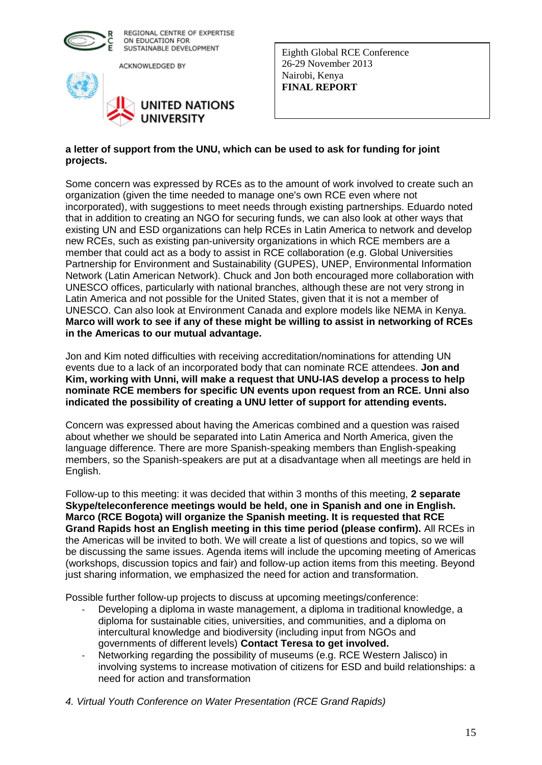

ACKNOWLEDGED BY



Eighth Global RCE Conference 26-29 November 2013 Nairobi, Kenya **FINAL REPORT** 

## **a letter of support from the UNU, which can be used to ask for funding for joint projects.**

Some concern was expressed by RCEs as to the amount of work involved to create such an organization (given the time needed to manage one's own RCE even where not incorporated), with suggestions to meet needs through existing partnerships. Eduardo noted that in addition to creating an NGO for securing funds, we can also look at other ways that existing UN and ESD organizations can help RCEs in Latin America to network and develop new RCEs, such as existing pan-university organizations in which RCE members are a member that could act as a body to assist in RCE collaboration (e.g. Global Universities Partnership for Environment and Sustainability (GUPES), UNEP, Environmental Information Network (Latin American Network). Chuck and Jon both encouraged more collaboration with UNESCO offices, particularly with national branches, although these are not very strong in Latin America and not possible for the United States, given that it is not a member of UNESCO. Can also look at Environment Canada and explore models like NEMA in Kenya. **Marco will work to see if any of these might be willing to assist in networking of RCEs in the Americas to our mutual advantage.**

Jon and Kim noted difficulties with receiving accreditation/nominations for attending UN events due to a lack of an incorporated body that can nominate RCE attendees. **Jon and Kim, working with Unni, will make a request that UNU-IAS develop a process to help nominate RCE members for specific UN events upon request from an RCE. Unni also indicated the possibility of creating a UNU letter of support for attending events.**

Concern was expressed about having the Americas combined and a question was raised about whether we should be separated into Latin America and North America, given the language difference. There are more Spanish-speaking members than English-speaking members, so the Spanish-speakers are put at a disadvantage when all meetings are held in English.

Follow-up to this meeting: it was decided that within 3 months of this meeting, **2 separate Skype/teleconference meetings would be held, one in Spanish and one in English. Marco (RCE Bogota) will organize the Spanish meeting. It is requested that RCE Grand Rapids host an English meeting in this time period (please confirm).** All RCEs in the Americas will be invited to both. We will create a list of questions and topics, so we will be discussing the same issues. Agenda items will include the upcoming meeting of Americas (workshops, discussion topics and fair) and follow-up action items from this meeting. Beyond just sharing information, we emphasized the need for action and transformation.

Possible further follow-up projects to discuss at upcoming meetings/conference:

- Developing a diploma in waste management, a diploma in traditional knowledge, a diploma for sustainable cities, universities, and communities, and a diploma on intercultural knowledge and biodiversity (including input from NGOs and governments of different levels) **Contact Teresa to get involved.**
- Networking regarding the possibility of museums (e.g. RCE Western Jalisco) in involving systems to increase motivation of citizens for ESD and build relationships: a need for action and transformation
- *4. Virtual Youth Conference on Water Presentation (RCE Grand Rapids)*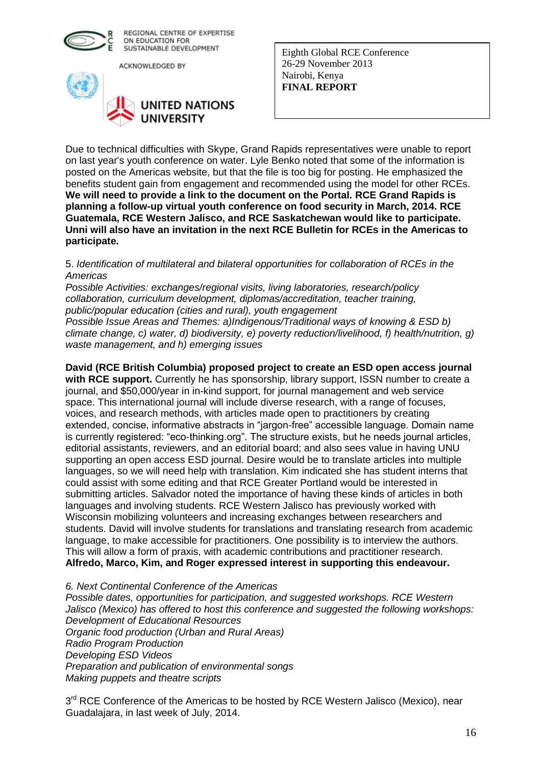

ACKNOWLEDGED BY



Eighth Global RCE Conference 26-29 November 2013 Nairobi, Kenya **FINAL REPORT** 

Due to technical difficulties with Skype, Grand Rapids representatives were unable to report on last year's youth conference on water. Lyle Benko noted that some of the information is posted on the Americas website, but that the file is too big for posting. He emphasized the benefits student gain from engagement and recommended using the model for other RCEs. **We will need to provide a link to the document on the Portal. RCE Grand Rapids is planning a follow-up virtual youth conference on food security in March, 2014. RCE Guatemala, RCE Western Jalisco, and RCE Saskatchewan would like to participate. Unni will also have an invitation in the next RCE Bulletin for RCEs in the Americas to participate.**

5. *Identification of multilateral and bilateral opportunities for collaboration of RCEs in the Americas*

*Possible Activities: exchanges/regional visits, living laboratories, research/policy collaboration, curriculum development, diplomas/accreditation, teacher training, public/popular education (cities and rural), youth engagement Possible Issue Areas and Themes: a)Indigenous/Traditional ways of knowing & ESD b) climate change, c) water, d) biodiversity, e) poverty reduction/livelihood, f) health/nutrition, g) waste management, and h) emerging issues*

## **David (RCE British Columbia) proposed project to create an ESD open access journal**

**with RCE support.** Currently he has sponsorship, library support, ISSN number to create a journal, and \$50,000/year in in-kind support, for journal management and web service space. This international journal will include diverse research, with a range of focuses, voices, and research methods, with articles made open to practitioners by creating extended, concise, informative abstracts in "jargon-free" accessible language. Domain name is currently registered: "eco-thinking.org". The structure exists, but he needs journal articles, editorial assistants, reviewers, and an editorial board; and also sees value in having UNU supporting an open access ESD journal. Desire would be to translate articles into multiple languages, so we will need help with translation. Kim indicated she has student interns that could assist with some editing and that RCE Greater Portland would be interested in submitting articles. Salvador noted the importance of having these kinds of articles in both languages and involving students. RCE Western Jalisco has previously worked with Wisconsin mobilizing volunteers and increasing exchanges between researchers and students. David will involve students for translations and translating research from academic language, to make accessible for practitioners. One possibility is to interview the authors. This will allow a form of praxis, with academic contributions and practitioner research. **Alfredo, Marco, Kim, and Roger expressed interest in supporting this endeavour.**

*6. Next Continental Conference of the Americas Possible dates, opportunities for participation, and suggested workshops. RCE Western Jalisco (Mexico) has offered to host this conference and suggested the following workshops:*

*Development of Educational Resources Organic food production (Urban and Rural Areas) Radio Program Production Developing ESD Videos Preparation and publication of environmental songs Making puppets and theatre scripts*

3<sup>rd</sup> RCE Conference of the Americas to be hosted by RCE Western Jalisco (Mexico), near Guadalajara, in last week of July, 2014.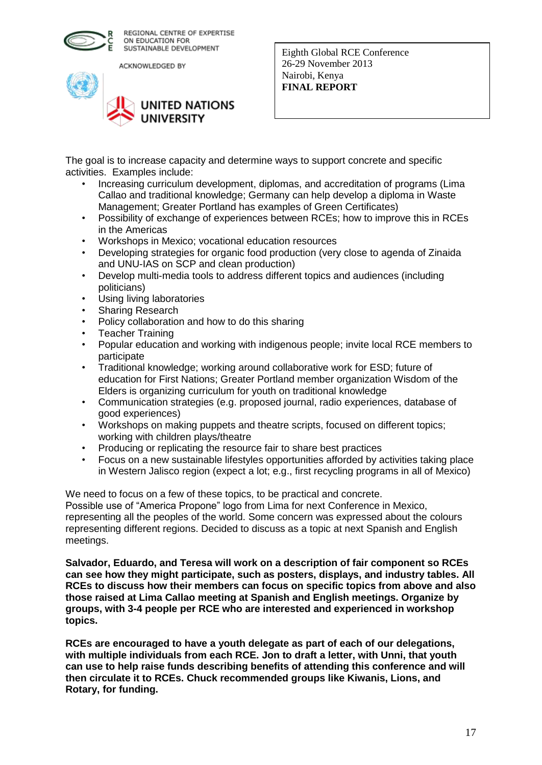

ACKNOWLEDGED BY



Eighth Global RCE Conference 26-29 November 2013 Nairobi, Kenya **FINAL REPORT** 

The goal is to increase capacity and determine ways to support concrete and specific activities. Examples include:

- Increasing curriculum development, diplomas, and accreditation of programs (Lima Callao and traditional knowledge; Germany can help develop a diploma in Waste Management; Greater Portland has examples of Green Certificates)
- Possibility of exchange of experiences between RCEs; how to improve this in RCEs in the Americas
- Workshops in Mexico; vocational education resources
- Developing strategies for organic food production (very close to agenda of Zinaida and UNU-IAS on SCP and clean production)
- Develop multi-media tools to address different topics and audiences (including politicians)
- Using living laboratories
- Sharing Research
- Policy collaboration and how to do this sharing
- Teacher Training
- Popular education and working with indigenous people; invite local RCE members to participate
- Traditional knowledge; working around collaborative work for ESD; future of education for First Nations; Greater Portland member organization Wisdom of the Elders is organizing curriculum for youth on traditional knowledge
- Communication strategies (e.g. proposed journal, radio experiences, database of good experiences)
- Workshops on making puppets and theatre scripts, focused on different topics; working with children plays/theatre
- Producing or replicating the resource fair to share best practices
- Focus on a new sustainable lifestyles opportunities afforded by activities taking place in Western Jalisco region (expect a lot; e.g., first recycling programs in all of Mexico)

We need to focus on a few of these topics, to be practical and concrete. Possible use of "America Propone" logo from Lima for next Conference in Mexico, representing all the peoples of the world. Some concern was expressed about the colours representing different regions. Decided to discuss as a topic at next Spanish and English meetings.

**Salvador, Eduardo, and Teresa will work on a description of fair component so RCEs can see how they might participate, such as posters, displays, and industry tables. All RCEs to discuss how their members can focus on specific topics from above and also those raised at Lima Callao meeting at Spanish and English meetings. Organize by groups, with 3-4 people per RCE who are interested and experienced in workshop topics.** 

**RCEs are encouraged to have a youth delegate as part of each of our delegations, with multiple individuals from each RCE. Jon to draft a letter, with Unni, that youth can use to help raise funds describing benefits of attending this conference and will then circulate it to RCEs. Chuck recommended groups like Kiwanis, Lions, and Rotary, for funding.**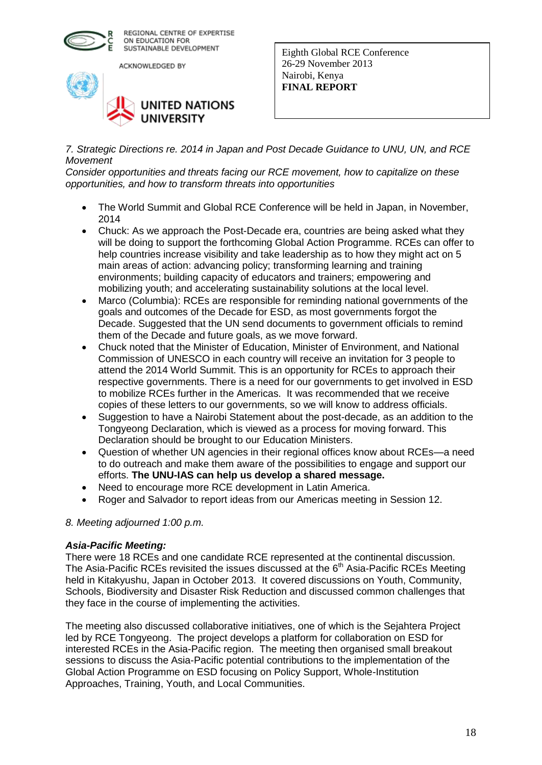

ACKNOWLEDGED BY



Eighth Global RCE Conference 26-29 November 2013 Nairobi, Kenya **FINAL REPORT** 

*7. Strategic Directions re. 2014 in Japan and Post Decade Guidance to UNU, UN, and RCE Movement*

*Consider opportunities and threats facing our RCE movement, how to capitalize on these opportunities, and how to transform threats into opportunities*

- The World Summit and Global RCE Conference will be held in Japan, in November, 2014
- Chuck: As we approach the Post-Decade era, countries are being asked what they will be doing to support the forthcoming Global Action Programme. RCEs can offer to help countries increase visibility and take leadership as to how they might act on 5 main areas of action: advancing policy; transforming learning and training environments; building capacity of educators and trainers; empowering and mobilizing youth; and accelerating sustainability solutions at the local level.
- Marco (Columbia): RCEs are responsible for reminding national governments of the goals and outcomes of the Decade for ESD, as most governments forgot the Decade. Suggested that the UN send documents to government officials to remind them of the Decade and future goals, as we move forward.
- Chuck noted that the Minister of Education, Minister of Environment, and National Commission of UNESCO in each country will receive an invitation for 3 people to attend the 2014 World Summit. This is an opportunity for RCEs to approach their respective governments. There is a need for our governments to get involved in ESD to mobilize RCEs further in the Americas. It was recommended that we receive copies of these letters to our governments, so we will know to address officials.
- Suggestion to have a Nairobi Statement about the post-decade, as an addition to the Tongyeong Declaration, which is viewed as a process for moving forward. This Declaration should be brought to our Education Ministers.
- Question of whether UN agencies in their regional offices know about RCEs—a need to do outreach and make them aware of the possibilities to engage and support our efforts. **The UNU-IAS can help us develop a shared message.**
- Need to encourage more RCE development in Latin America.
- Roger and Salvador to report ideas from our Americas meeting in Session 12.

## *8. Meeting adjourned 1:00 p.m.*

## *Asia-Pacific Meeting:*

There were 18 RCEs and one candidate RCE represented at the continental discussion. The Asia-Pacific RCEs revisited the issues discussed at the  $6<sup>th</sup>$  Asia-Pacific RCEs Meeting held in Kitakyushu, Japan in October 2013. It covered discussions on Youth, Community, Schools, Biodiversity and Disaster Risk Reduction and discussed common challenges that they face in the course of implementing the activities.

The meeting also discussed collaborative initiatives, one of which is the Sejahtera Project led by RCE Tongyeong. The project develops a platform for collaboration on ESD for interested RCEs in the Asia-Pacific region. The meeting then organised small breakout sessions to discuss the Asia-Pacific potential contributions to the implementation of the Global Action Programme on ESD focusing on Policy Support, Whole-Institution Approaches, Training, Youth, and Local Communities.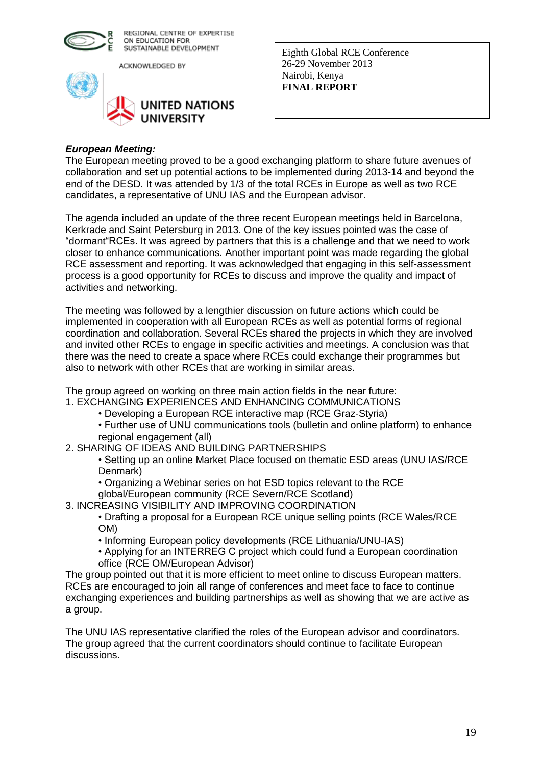

ACKNOWLEDGED BY



Eighth Global RCE Conference 26-29 November 2013 Nairobi, Kenya **FINAL REPORT** 

#### *European Meeting:*

The European meeting proved to be a good exchanging platform to share future avenues of collaboration and set up potential actions to be implemented during 2013-14 and beyond the end of the DESD. It was attended by 1/3 of the total RCEs in Europe as well as two RCE candidates, a representative of UNU IAS and the European advisor.

The agenda included an update of the three recent European meetings held in Barcelona, Kerkrade and Saint Petersburg in 2013. One of the key issues pointed was the case of "dormant"RCEs. It was agreed by partners that this is a challenge and that we need to work closer to enhance communications. Another important point was made regarding the global RCE assessment and reporting. It was acknowledged that engaging in this self-assessment process is a good opportunity for RCEs to discuss and improve the quality and impact of activities and networking.

The meeting was followed by a lengthier discussion on future actions which could be implemented in cooperation with all European RCEs as well as potential forms of regional coordination and collaboration. Several RCEs shared the projects in which they are involved and invited other RCEs to engage in specific activities and meetings. A conclusion was that there was the need to create a space where RCEs could exchange their programmes but also to network with other RCEs that are working in similar areas.

The group agreed on working on three main action fields in the near future:

- 1. EXCHANGING EXPERIENCES AND ENHANCING COMMUNICATIONS
	- Developing a European RCE interactive map (RCE Graz-Styria)
	- Further use of UNU communications tools (bulletin and online platform) to enhance regional engagement (all)
- 2. SHARING OF IDEAS AND BUILDING PARTNERSHIPS

• Setting up an online Market Place focused on thematic ESD areas (UNU IAS/RCE Denmark)

- Organizing a Webinar series on hot ESD topics relevant to the RCE
- global/European community (RCE Severn/RCE Scotland)
- 3. INCREASING VISIBILITY AND IMPROVING COORDINATION

• Drafting a proposal for a European RCE unique selling points (RCE Wales/RCE OM)

• Informing European policy developments (RCE Lithuania/UNU-IAS)

• Applying for an INTERREG C project which could fund a European coordination office (RCE OM/European Advisor)

The group pointed out that it is more efficient to meet online to discuss European matters. RCEs are encouraged to join all range of conferences and meet face to face to continue exchanging experiences and building partnerships as well as showing that we are active as a group.

The UNU IAS representative clarified the roles of the European advisor and coordinators. The group agreed that the current coordinators should continue to facilitate European discussions.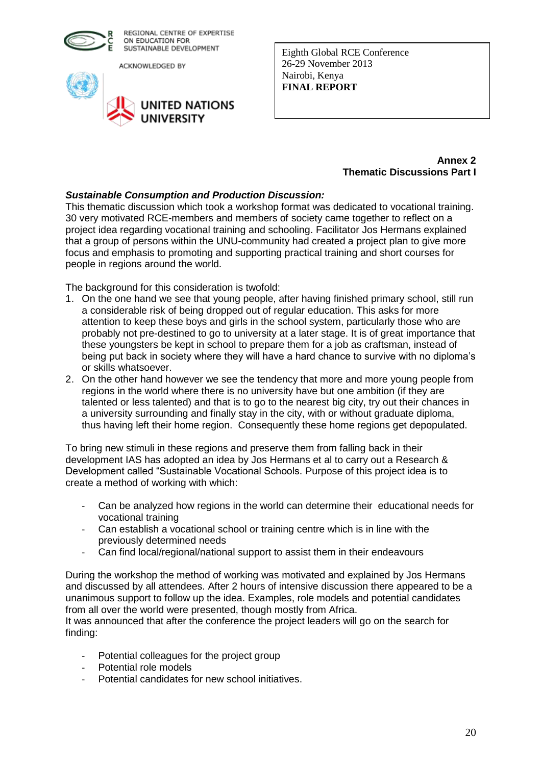

ACKNOWLEDGED BY



Eighth Global RCE Conference 26-29 November 2013 Nairobi, Kenya **FINAL REPORT** 

#### **Annex 2 Thematic Discussions Part I**

## *Sustainable Consumption and Production Discussion:*

This thematic discussion which took a workshop format was dedicated to vocational training. 30 very motivated RCE-members and members of society came together to reflect on a project idea regarding vocational training and schooling. Facilitator Jos Hermans explained that a group of persons within the UNU-community had created a project plan to give more focus and emphasis to promoting and supporting practical training and short courses for people in regions around the world.

The background for this consideration is twofold:

- 1. On the one hand we see that young people, after having finished primary school, still run a considerable risk of being dropped out of regular education. This asks for more attention to keep these boys and girls in the school system, particularly those who are probably not pre-destined to go to university at a later stage. It is of great importance that these youngsters be kept in school to prepare them for a job as craftsman, instead of being put back in society where they will have a hard chance to survive with no diploma's or skills whatsoever.
- 2. On the other hand however we see the tendency that more and more young people from regions in the world where there is no university have but one ambition (if they are talented or less talented) and that is to go to the nearest big city, try out their chances in a university surrounding and finally stay in the city, with or without graduate diploma, thus having left their home region. Consequently these home regions get depopulated.

To bring new stimuli in these regions and preserve them from falling back in their development IAS has adopted an idea by Jos Hermans et al to carry out a Research & Development called "Sustainable Vocational Schools. Purpose of this project idea is to create a method of working with which:

- Can be analyzed how regions in the world can determine their educational needs for vocational training
- Can establish a vocational school or training centre which is in line with the previously determined needs
- Can find local/regional/national support to assist them in their endeavours

During the workshop the method of working was motivated and explained by Jos Hermans and discussed by all attendees. After 2 hours of intensive discussion there appeared to be a unanimous support to follow up the idea. Examples, role models and potential candidates from all over the world were presented, though mostly from Africa.

It was announced that after the conference the project leaders will go on the search for finding:

- Potential colleagues for the project group
- Potential role models
- Potential candidates for new school initiatives.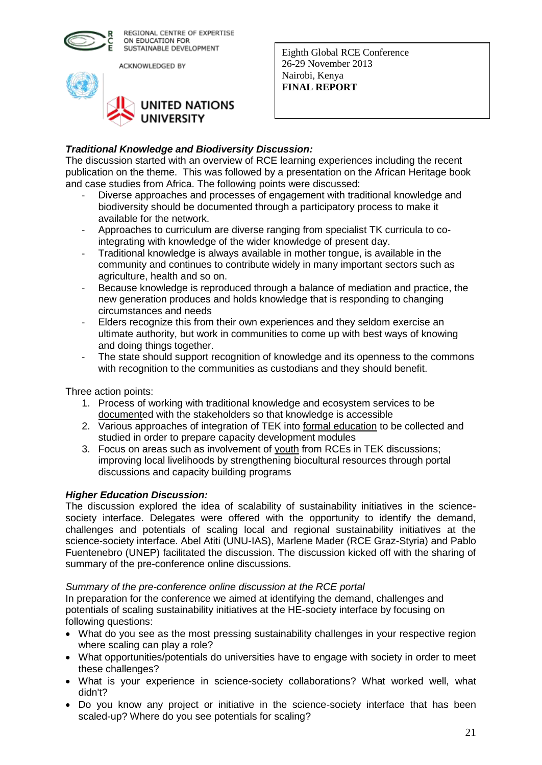

ACKNOWLEDGED BY



Eighth Global RCE Conference 26-29 November 2013 Nairobi, Kenya **FINAL REPORT** 

## *Traditional Knowledge and Biodiversity Discussion:*

The discussion started with an overview of RCE learning experiences including the recent publication on the theme. This was followed by a presentation on the African Heritage book and case studies from Africa. The following points were discussed:

- Diverse approaches and processes of engagement with traditional knowledge and biodiversity should be documented through a participatory process to make it available for the network.
- Approaches to curriculum are diverse ranging from specialist TK curricula to cointegrating with knowledge of the wider knowledge of present day.
- Traditional knowledge is always available in mother tongue, is available in the community and continues to contribute widely in many important sectors such as agriculture, health and so on.
- Because knowledge is reproduced through a balance of mediation and practice, the new generation produces and holds knowledge that is responding to changing circumstances and needs
- Elders recognize this from their own experiences and they seldom exercise an ultimate authority, but work in communities to come up with best ways of knowing and doing things together.
- The state should support recognition of knowledge and its openness to the commons with recognition to the communities as custodians and they should benefit.

Three action points:

- 1. Process of working with traditional knowledge and ecosystem services to be documented with the stakeholders so that knowledge is accessible
- 2. Various approaches of integration of TEK into formal education to be collected and studied in order to prepare capacity development modules
- 3. Focus on areas such as involvement of youth from RCEs in TEK discussions; improving local livelihoods by strengthening biocultural resources through portal discussions and capacity building programs

## *Higher Education Discussion:*

The discussion explored the idea of scalability of sustainability initiatives in the sciencesociety interface. Delegates were offered with the opportunity to identify the demand, challenges and potentials of scaling local and regional sustainability initiatives at the science-society interface. Abel Atiti (UNU-IAS), Marlene Mader (RCE Graz-Styria) and Pablo Fuentenebro (UNEP) facilitated the discussion. The discussion kicked off with the sharing of summary of the pre-conference online discussions.

## *Summary of the pre-conference online discussion at the RCE portal*

In preparation for the conference we aimed at identifying the demand, challenges and potentials of scaling sustainability initiatives at the HE-society interface by focusing on following questions:

- What do you see as the most pressing sustainability challenges in your respective region where scaling can play a role?
- What opportunities/potentials do universities have to engage with society in order to meet these challenges?
- What is your experience in science-society collaborations? What worked well, what didn't?
- Do you know any project or initiative in the science-society interface that has been scaled-up? Where do you see potentials for scaling?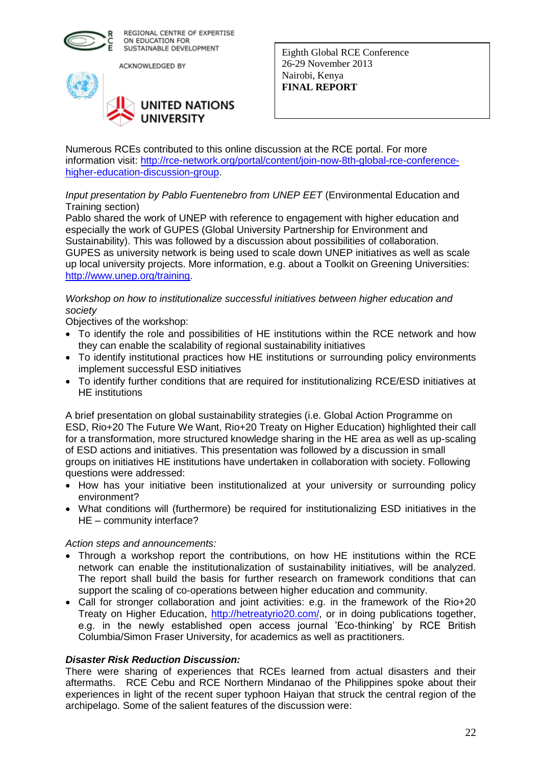

ACKNOWLEDGED BY



Eighth Global RCE Conference 26-29 November 2013 Nairobi, Kenya **FINAL REPORT** 

Numerous RCEs contributed to this online discussion at the RCE portal. For more information visit: [http://rce-network.org/portal/content/join-now-8th-global-rce-conference](http://rce-network.org/portal/content/join-now-8th-global-rce-conference-higher-education-discussion-group)[higher-education-discussion-group.](http://rce-network.org/portal/content/join-now-8th-global-rce-conference-higher-education-discussion-group)

*Input presentation by Pablo Fuentenebro from UNEP EET* (Environmental Education and Training section)

Pablo shared the work of UNEP with reference to engagement with higher education and especially the work of GUPES (Global University Partnership for Environment and Sustainability). This was followed by a discussion about possibilities of collaboration. GUPES as university network is being used to scale down UNEP initiatives as well as scale up local university projects. More information, e.g. about a Toolkit on Greening Universities: [http://www.unep.org/training.](http://www.unep.org/training)

## *Workshop on how to institutionalize successful initiatives between higher education and society*

Objectives of the workshop:

- To identify the role and possibilities of HE institutions within the RCE network and how they can enable the scalability of regional sustainability initiatives
- To identify institutional practices how HE institutions or surrounding policy environments implement successful ESD initiatives
- To identify further conditions that are required for institutionalizing RCE/ESD initiatives at HE institutions

A brief presentation on global sustainability strategies (i.e. Global Action Programme on ESD, Rio+20 The Future We Want, Rio+20 Treaty on Higher Education) highlighted their call for a transformation, more structured knowledge sharing in the HE area as well as up-scaling of ESD actions and initiatives. This presentation was followed by a discussion in small groups on initiatives HE institutions have undertaken in collaboration with society. Following questions were addressed:

- How has your initiative been institutionalized at your university or surrounding policy environment?
- What conditions will (furthermore) be required for institutionalizing ESD initiatives in the HE – community interface?

## *Action steps and announcements:*

- Through a workshop report the contributions, on how HE institutions within the RCE network can enable the institutionalization of sustainability initiatives, will be analyzed. The report shall build the basis for further research on framework conditions that can support the scaling of co-operations between higher education and community.
- Call for stronger collaboration and joint activities: e.g. in the framework of the Rio+20 Treaty on Higher Education, [http://hetreatyrio20.com/,](http://hetreatyrio20.com/) or in doing publications together, e.g. in the newly established open access journal 'Eco-thinking' by RCE British Columbia/Simon Fraser University, for academics as well as practitioners.

## *Disaster Risk Reduction Discussion:*

There were sharing of experiences that RCEs learned from actual disasters and their aftermaths. RCE Cebu and RCE Northern Mindanao of the Philippines spoke about their experiences in light of the recent super typhoon Haiyan that struck the central region of the archipelago. Some of the salient features of the discussion were: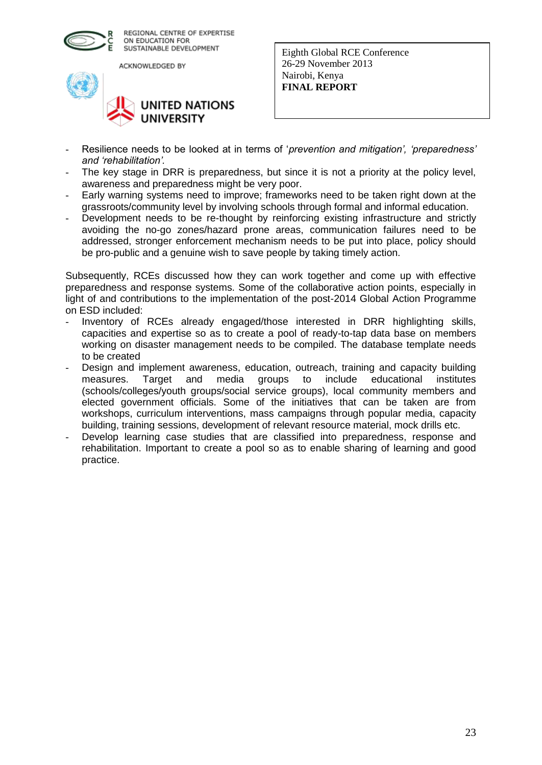

ACKNOWLEDGED BY



Eighth Global RCE Conference 26-29 November 2013 Nairobi, Kenya **FINAL REPORT** 

- Resilience needs to be looked at in terms of '*prevention and mitigation', 'preparedness' and 'rehabilitation'.*
- The key stage in DRR is preparedness, but since it is not a priority at the policy level, awareness and preparedness might be very poor.
- Early warning systems need to improve; frameworks need to be taken right down at the grassroots/community level by involving schools through formal and informal education.
- Development needs to be re-thought by reinforcing existing infrastructure and strictly avoiding the no-go zones/hazard prone areas, communication failures need to be addressed, stronger enforcement mechanism needs to be put into place, policy should be pro-public and a genuine wish to save people by taking timely action.

Subsequently, RCEs discussed how they can work together and come up with effective preparedness and response systems. Some of the collaborative action points, especially in light of and contributions to the implementation of the post-2014 Global Action Programme on ESD included:

- Inventory of RCEs already engaged/those interested in DRR highlighting skills, capacities and expertise so as to create a pool of ready-to-tap data base on members working on disaster management needs to be compiled. The database template needs to be created
- Design and implement awareness, education, outreach, training and capacity building measures. Target and media groups to include educational institutes (schools/colleges/youth groups/social service groups), local community members and elected government officials. Some of the initiatives that can be taken are from workshops, curriculum interventions, mass campaigns through popular media, capacity building, training sessions, development of relevant resource material, mock drills etc.
- Develop learning case studies that are classified into preparedness, response and rehabilitation. Important to create a pool so as to enable sharing of learning and good practice.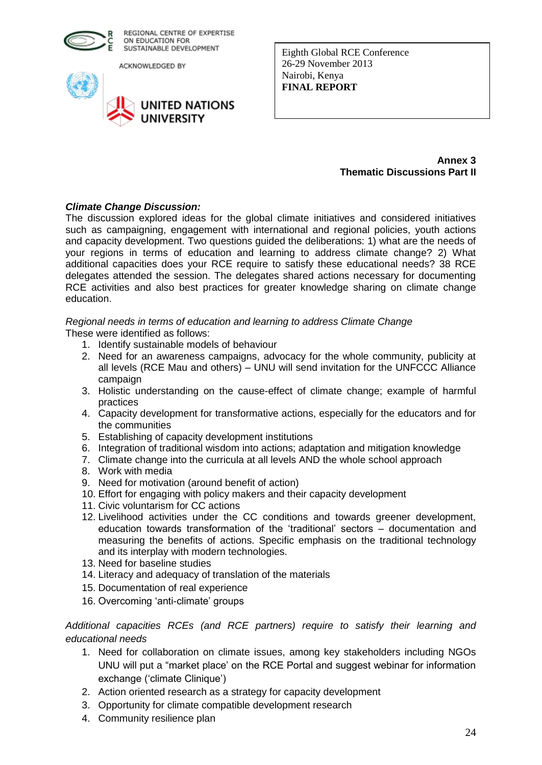

ACKNOWLEDGED BY



Eighth Global RCE Conference 26-29 November 2013 Nairobi, Kenya **FINAL REPORT** 

> **Annex 3 Thematic Discussions Part II**

## *Climate Change Discussion:*

The discussion explored ideas for the global climate initiatives and considered initiatives such as campaigning, engagement with international and regional policies, youth actions and capacity development. Two questions guided the deliberations: 1) what are the needs of your regions in terms of education and learning to address climate change? 2) What additional capacities does your RCE require to satisfy these educational needs? 38 RCE delegates attended the session. The delegates shared actions necessary for documenting RCE activities and also best practices for greater knowledge sharing on climate change education.

*Regional needs in terms of education and learning to address Climate Change* These were identified as follows:

- 1. Identify sustainable models of behaviour
- 2. Need for an awareness campaigns, advocacy for the whole community, publicity at all levels (RCE Mau and others) – UNU will send invitation for the UNFCCC Alliance campaign
- 3. Holistic understanding on the cause-effect of climate change; example of harmful practices
- 4. Capacity development for transformative actions, especially for the educators and for the communities
- 5. Establishing of capacity development institutions
- 6. Integration of traditional wisdom into actions; adaptation and mitigation knowledge
- 7. Climate change into the curricula at all levels AND the whole school approach
- 8. Work with media
- 9. Need for motivation (around benefit of action)
- 10. Effort for engaging with policy makers and their capacity development
- 11. Civic voluntarism for CC actions
- 12. Livelihood activities under the CC conditions and towards greener development, education towards transformation of the 'traditional' sectors – documentation and measuring the benefits of actions. Specific emphasis on the traditional technology and its interplay with modern technologies.
- 13. Need for baseline studies
- 14. Literacy and adequacy of translation of the materials
- 15. Documentation of real experience
- 16. Overcoming 'anti-climate' groups

*Additional capacities RCEs (and RCE partners) require to satisfy their learning and educational needs*

- 1. Need for collaboration on climate issues, among key stakeholders including NGOs UNU will put a "market place' on the RCE Portal and suggest webinar for information exchange ('climate Clinique')
- 2. Action oriented research as a strategy for capacity development
- 3. Opportunity for climate compatible development research
- 4. Community resilience plan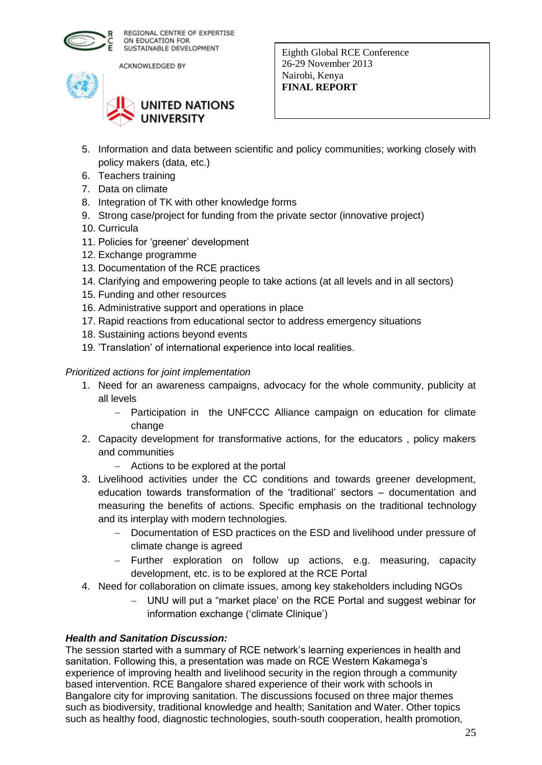

ACKNOWLEDGED BY



Eighth Global RCE Conference 26-29 November 2013 Nairobi, Kenya **FINAL REPORT** 

- 5. Information and data between scientific and policy communities; working closely with policy makers (data, etc.)
- 6. Teachers training
- 7. Data on climate
- 8. Integration of TK with other knowledge forms
- 9. Strong case/project for funding from the private sector (innovative project)
- 10. Curricula
- 11. Policies for 'greener' development
- 12. Exchange programme
- 13. Documentation of the RCE practices
- 14. Clarifying and empowering people to take actions (at all levels and in all sectors)
- 15. Funding and other resources
- 16. Administrative support and operations in place
- 17. Rapid reactions from educational sector to address emergency situations
- 18. Sustaining actions beyond events
- 19. 'Translation' of international experience into local realities.

## *Prioritized actions for joint implementation*

- 1. Need for an awareness campaigns, advocacy for the whole community, publicity at all levels
	- Participation in the UNFCCC Alliance campaign on education for climate change
- 2. Capacity development for transformative actions, for the educators , policy makers and communities
	- Actions to be explored at the portal
- 3. Livelihood activities under the CC conditions and towards greener development, education towards transformation of the 'traditional' sectors – documentation and measuring the benefits of actions. Specific emphasis on the traditional technology and its interplay with modern technologies.
	- Documentation of ESD practices on the ESD and livelihood under pressure of climate change is agreed
	- Further exploration on follow up actions, e.g. measuring, capacity development, etc. is to be explored at the RCE Portal
- 4. Need for collaboration on climate issues, among key stakeholders including NGOs
	- UNU will put a "market place' on the RCE Portal and suggest webinar for information exchange ('climate Clinique')

## *Health and Sanitation Discussion:*

The session started with a summary of RCE network's learning experiences in health and sanitation. Following this, a presentation was made on RCE Western Kakamega's experience of improving health and livelihood security in the region through a community based intervention. RCE Bangalore shared experience of their work with schools in Bangalore city for improving sanitation. The discussions focused on three major themes such as biodiversity, traditional knowledge and health; Sanitation and Water. Other topics such as healthy food, diagnostic technologies, south-south cooperation, health promotion,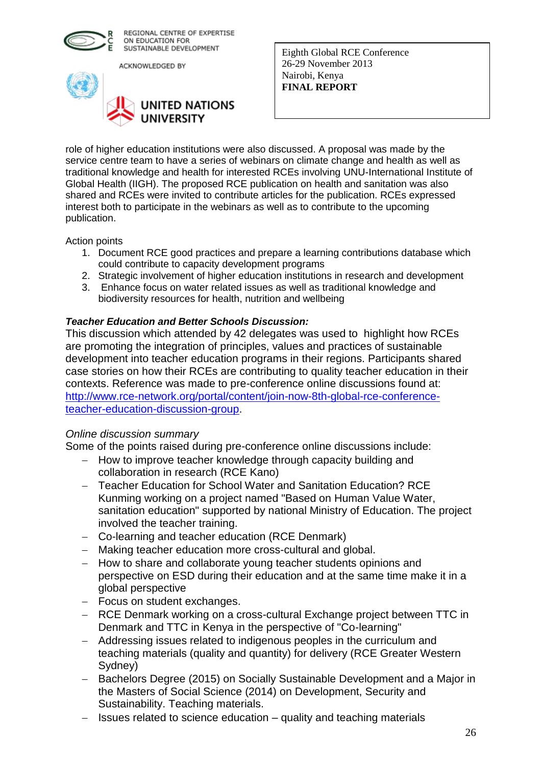

ACKNOWLEDGED BY



Eighth Global RCE Conference 26-29 November 2013 Nairobi, Kenya **FINAL REPORT** 

role of higher education institutions were also discussed. A proposal was made by the service centre team to have a series of webinars on climate change and health as well as traditional knowledge and health for interested RCEs involving UNU-International Institute of Global Health (IIGH). The proposed RCE publication on health and sanitation was also shared and RCEs were invited to contribute articles for the publication. RCEs expressed interest both to participate in the webinars as well as to contribute to the upcoming publication.

Action points

- 1. Document RCE good practices and prepare a learning contributions database which could contribute to capacity development programs
- 2. Strategic involvement of higher education institutions in research and development
- 3. Enhance focus on water related issues as well as traditional knowledge and biodiversity resources for health, nutrition and wellbeing

## *Teacher Education and Better Schools Discussion:*

This discussion which attended by 42 delegates was used to highlight how RCEs are promoting the integration of principles, values and practices of sustainable development into teacher education programs in their regions. Participants shared case stories on how their RCEs are contributing to quality teacher education in their contexts. Reference was made to pre-conference online discussions found at: [http://www.rce-network.org/portal/content/join-now-8th-global-rce-conference](http://www.rce-network.org/portal/content/join-now-8th-global-rce-conference-teacher-education-discussion-group)[teacher-education-discussion-group.](http://www.rce-network.org/portal/content/join-now-8th-global-rce-conference-teacher-education-discussion-group)

## *Online discussion summary*

Some of the points raised during pre-conference online discussions include:

- How to improve teacher knowledge through capacity building and collaboration in research (RCE Kano)
- Teacher Education for School Water and Sanitation Education? RCE Kunming working on a project named "Based on Human Value Water, sanitation education" supported by national Ministry of Education. The project involved the teacher training.
- Co-learning and teacher education (RCE Denmark)
- Making teacher education more cross-cultural and global.
- How to share and collaborate young teacher students opinions and perspective on ESD during their education and at the same time make it in a global perspective
- Focus on student exchanges.
- RCE Denmark working on a cross-cultural Exchange project between TTC in Denmark and TTC in Kenya in the perspective of "Co-learning"
- Addressing issues related to indigenous peoples in the curriculum and teaching materials (quality and quantity) for delivery (RCE Greater Western Sydney)
- Bachelors Degree (2015) on Socially Sustainable Development and a Major in the Masters of Social Science (2014) on Development, Security and Sustainability. Teaching materials.
- Issues related to science education quality and teaching materials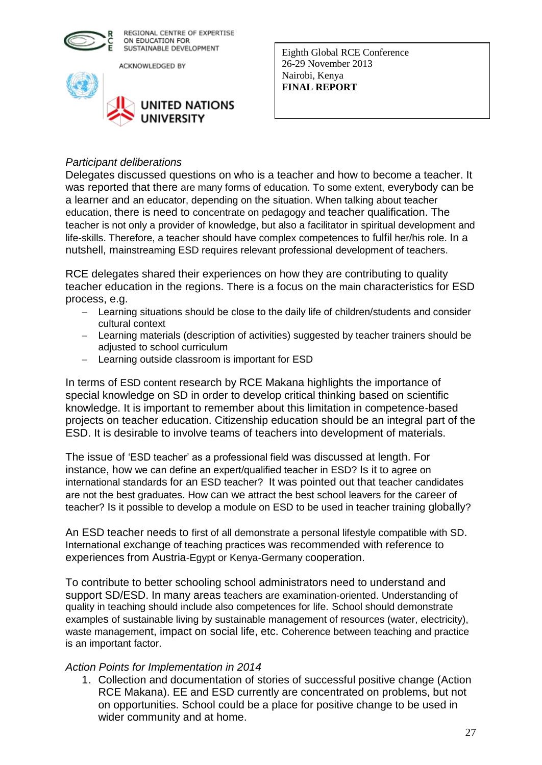

ACKNOWLEDGED BY



Eighth Global RCE Conference 26-29 November 2013 Nairobi, Kenya **FINAL REPORT** 

## *Participant deliberations*

Delegates discussed questions on who is a teacher and how to become a teacher. It was reported that there are many forms of education. To some extent, everybody can be a learner and an educator, depending on the situation. When talking about teacher education, there is need to concentrate on pedagogy and teacher qualification. The teacher is not only a provider of knowledge, but also a facilitator in spiritual development and life-skills. Therefore, a teacher should have complex competences to fulfil her/his role. In a nutshell, mainstreaming ESD requires relevant professional development of teachers.

RCE delegates shared their experiences on how they are contributing to quality teacher education in the regions. There is a focus on the main characteristics for ESD process, e.g.

- Learning situations should be close to the daily life of children/students and consider cultural context
- Learning materials (description of activities) suggested by teacher trainers should be adjusted to school curriculum
- Learning outside classroom is important for ESD

In terms of ESD content research by RCE Makana highlights the importance of special knowledge on SD in order to develop critical thinking based on scientific knowledge. It is important to remember about this limitation in competence-based projects on teacher education. Citizenship education should be an integral part of the ESD. It is desirable to involve teams of teachers into development of materials.

The issue of 'ESD teacher' as a professional field was discussed at length. For instance, how we can define an expert/qualified teacher in ESD? Is it to agree on international standards for an ESD teacher? It was pointed out that teacher candidates are not the best graduates. How can we attract the best school leavers for the career of teacher? Is it possible to develop a module on ESD to be used in teacher training globally?

An ESD teacher needs to first of all demonstrate a personal lifestyle compatible with SD. International exchange of teaching practices was recommended with reference to experiences from Austria-Egypt or Kenya-Germany cooperation.

To contribute to better schooling school administrators need to understand and support SD/ESD. In many areas teachers are examination-oriented. Understanding of quality in teaching should include also competences for life. School should demonstrate examples of sustainable living by sustainable management of resources (water, electricity), waste management, impact on social life, etc. Coherence between teaching and practice is an important factor.

## *Action Points for Implementation in 2014*

1. Collection and documentation of stories of successful positive change (Action RCE Makana). EE and ESD currently are concentrated on problems, but not on opportunities. School could be a place for positive change to be used in wider community and at home.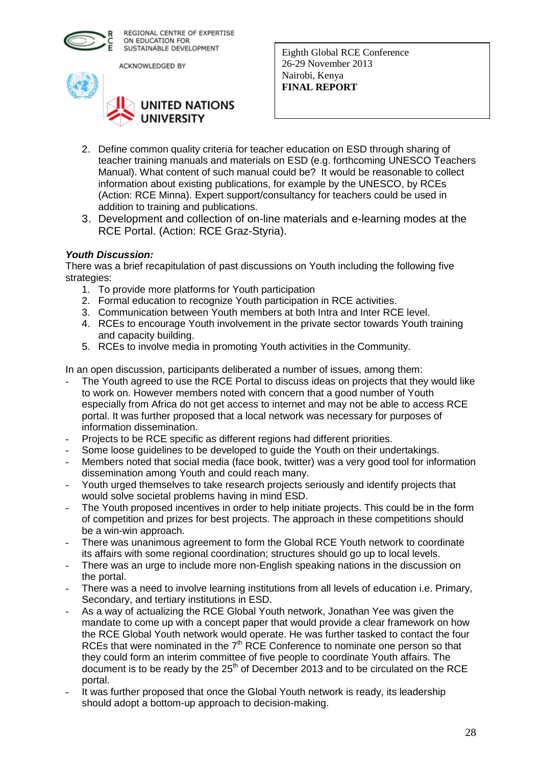

ACKNOWLEDGED BY



Eighth Global RCE Conference 26-29 November 2013 Nairobi, Kenya **FINAL REPORT** 

- 2. Define common quality criteria for teacher education on ESD through sharing of teacher training manuals and materials on ESD (e.g. forthcoming UNESCO Teachers Manual). What content of such manual could be? It would be reasonable to collect information about existing publications, for example by the UNESCO, by RCEs (Action: RCE Minna). Expert support/consultancy for teachers could be used in addition to training and publications.
- 3. Development and collection of on-line materials and e-learning modes at the RCE Portal. (Action: RCE Graz-Styria).

## *Youth Discussion:*

There was a brief recapitulation of past discussions on Youth including the following five strategies:

- 1. To provide more platforms for Youth participation
- 2. Formal education to recognize Youth participation in RCE activities.
- 3. Communication between Youth members at both Intra and Inter RCE level.
- 4. RCEs to encourage Youth involvement in the private sector towards Youth training and capacity building.
- 5. RCEs to involve media in promoting Youth activities in the Community.

In an open discussion, participants deliberated a number of issues, among them:

- The Youth agreed to use the RCE Portal to discuss ideas on projects that they would like to work on. However members noted with concern that a good number of Youth especially from Africa do not get access to internet and may not be able to access RCE portal. It was further proposed that a local network was necessary for purposes of information dissemination.
- Projects to be RCE specific as different regions had different priorities.
- Some loose guidelines to be developed to guide the Youth on their undertakings.
- Members noted that social media (face book, twitter) was a very good tool for information dissemination among Youth and could reach many.
- Youth urged themselves to take research projects seriously and identify projects that would solve societal problems having in mind ESD.
- The Youth proposed incentives in order to help initiate projects. This could be in the form of competition and prizes for best projects. The approach in these competitions should be a win-win approach.
- There was unanimous agreement to form the Global RCE Youth network to coordinate its affairs with some regional coordination; structures should go up to local levels.
- There was an urge to include more non-English speaking nations in the discussion on the portal.
- There was a need to involve learning institutions from all levels of education i.e. Primary, Secondary, and tertiary institutions in ESD.
- As a way of actualizing the RCE Global Youth network, Jonathan Yee was given the mandate to come up with a concept paper that would provide a clear framework on how the RCE Global Youth network would operate. He was further tasked to contact the four RCEs that were nominated in the  $7<sup>th</sup>$  RCE Conference to nominate one person so that they could form an interim committee of five people to coordinate Youth affairs. The document is to be ready by the  $25<sup>th</sup>$  of December 2013 and to be circulated on the RCE portal.
- It was further proposed that once the Global Youth network is ready, its leadership should adopt a bottom-up approach to decision-making.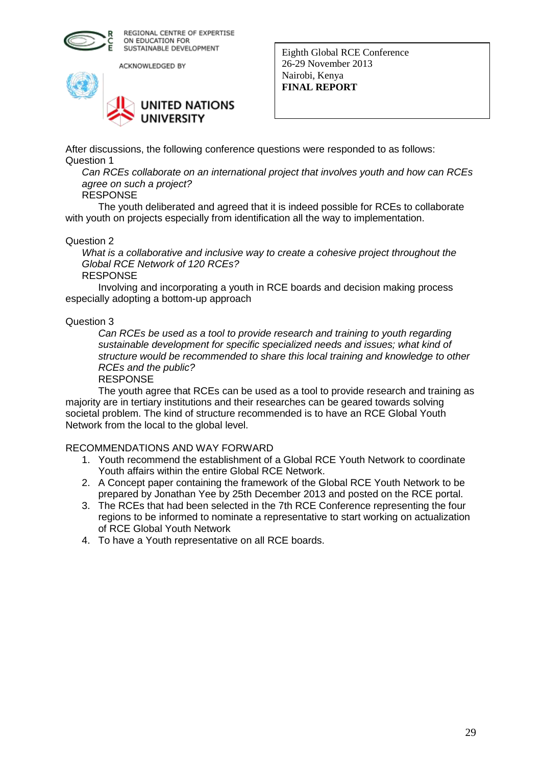

ACKNOWLEDGED BY



Eighth Global RCE Conference 26-29 November 2013 Nairobi, Kenya **FINAL REPORT** 

After discussions, the following conference questions were responded to as follows: Question 1

*Can RCEs collaborate on an international project that involves youth and how can RCEs agree on such a project?*

#### RESPONSE

The youth deliberated and agreed that it is indeed possible for RCEs to collaborate with youth on projects especially from identification all the way to implementation.

#### Question 2

*What is a collaborative and inclusive way to create a cohesive project throughout the Global RCE Network of 120 RCEs?*

RESPONSE

Involving and incorporating a youth in RCE boards and decision making process especially adopting a bottom-up approach

#### Question 3

*Can RCEs be used as a tool to provide research and training to youth regarding sustainable development for specific specialized needs and issues; what kind of structure would be recommended to share this local training and knowledge to other RCEs and the public?*

RESPONSE

The youth agree that RCEs can be used as a tool to provide research and training as majority are in tertiary institutions and their researches can be geared towards solving societal problem. The kind of structure recommended is to have an RCE Global Youth Network from the local to the global level.

#### RECOMMENDATIONS AND WAY FORWARD

- 1. Youth recommend the establishment of a Global RCE Youth Network to coordinate Youth affairs within the entire Global RCE Network.
- 2. A Concept paper containing the framework of the Global RCE Youth Network to be prepared by Jonathan Yee by 25th December 2013 and posted on the RCE portal.
- 3. The RCEs that had been selected in the 7th RCE Conference representing the four regions to be informed to nominate a representative to start working on actualization of RCE Global Youth Network
- 4. To have a Youth representative on all RCE boards.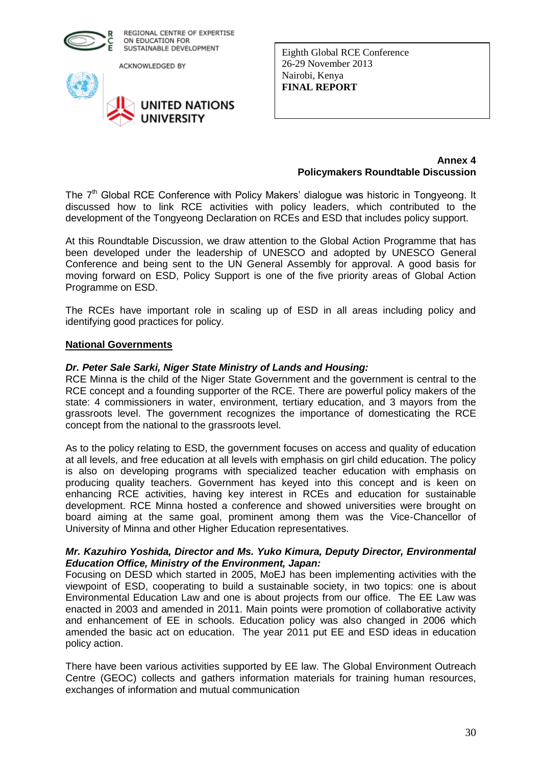

ACKNOWLEDGED BY



Eighth Global RCE Conference 26-29 November 2013 Nairobi, Kenya **FINAL REPORT** 

#### **Annex 4 Policymakers Roundtable Discussion**

The 7<sup>th</sup> Global RCE Conference with Policy Makers' dialogue was historic in Tongyeong. It discussed how to link RCE activities with policy leaders, which contributed to the development of the Tongyeong Declaration on RCEs and ESD that includes policy support.

At this Roundtable Discussion, we draw attention to the Global Action Programme that has been developed under the leadership of UNESCO and adopted by UNESCO General Conference and being sent to the UN General Assembly for approval. A good basis for moving forward on ESD, Policy Support is one of the five priority areas of Global Action Programme on ESD.

The RCEs have important role in scaling up of ESD in all areas including policy and identifying good practices for policy.

#### **National Governments**

#### *Dr. Peter Sale Sarki, Niger State Ministry of Lands and Housing:*

RCE Minna is the child of the Niger State Government and the government is central to the RCE concept and a founding supporter of the RCE. There are powerful policy makers of the state: 4 commissioners in water, environment, tertiary education, and 3 mayors from the grassroots level. The government recognizes the importance of domesticating the RCE concept from the national to the grassroots level.

As to the policy relating to ESD, the government focuses on access and quality of education at all levels, and free education at all levels with emphasis on girl child education. The policy is also on developing programs with specialized teacher education with emphasis on producing quality teachers. Government has keyed into this concept and is keen on enhancing RCE activities, having key interest in RCEs and education for sustainable development. RCE Minna hosted a conference and showed universities were brought on board aiming at the same goal, prominent among them was the Vice-Chancellor of University of Minna and other Higher Education representatives.

## *Mr. Kazuhiro Yoshida, Director and Ms. Yuko Kimura, Deputy Director, Environmental Education Office, Ministry of the Environment, Japan:*

Focusing on DESD which started in 2005, MoEJ has been implementing activities with the viewpoint of ESD, cooperating to build a sustainable society, in two topics: one is about Environmental Education Law and one is about projects from our office. The EE Law was enacted in 2003 and amended in 2011. Main points were promotion of collaborative activity and enhancement of EE in schools. Education policy was also changed in 2006 which amended the basic act on education. The year 2011 put EE and ESD ideas in education policy action.

There have been various activities supported by EE law. The Global Environment Outreach Centre (GEOC) collects and gathers information materials for training human resources, exchanges of information and mutual communication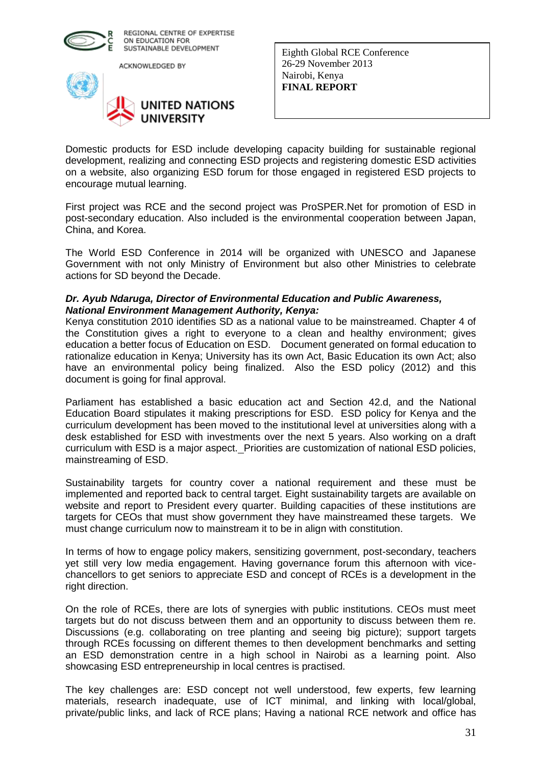

ACKNOWLEDGED BY



Eighth Global RCE Conference 26-29 November 2013 Nairobi, Kenya **FINAL REPORT** 

Domestic products for ESD include developing capacity building for sustainable regional development, realizing and connecting ESD projects and registering domestic ESD activities on a website, also organizing ESD forum for those engaged in registered ESD projects to encourage mutual learning.

First project was RCE and the second project was ProSPER.Net for promotion of ESD in post-secondary education. Also included is the environmental cooperation between Japan, China, and Korea.

The World ESD Conference in 2014 will be organized with UNESCO and Japanese Government with not only Ministry of Environment but also other Ministries to celebrate actions for SD beyond the Decade.

## *Dr. Ayub Ndaruga, Director of Environmental Education and Public Awareness, National Environment Management Authority, Kenya:*

Kenya constitution 2010 identifies SD as a national value to be mainstreamed. Chapter 4 of the Constitution gives a right to everyone to a clean and healthy environment; gives education a better focus of Education on ESD. Document generated on formal education to rationalize education in Kenya; University has its own Act, Basic Education its own Act; also have an environmental policy being finalized. Also the ESD policy (2012) and this document is going for final approval.

Parliament has established a basic education act and Section 42.d, and the National Education Board stipulates it making prescriptions for ESD. ESD policy for Kenya and the curriculum development has been moved to the institutional level at universities along with a desk established for ESD with investments over the next 5 years. Also working on a draft curriculum with ESD is a major aspect. Priorities are customization of national ESD policies, mainstreaming of ESD.

Sustainability targets for country cover a national requirement and these must be implemented and reported back to central target. Eight sustainability targets are available on website and report to President every quarter. Building capacities of these institutions are targets for CEOs that must show government they have mainstreamed these targets. We must change curriculum now to mainstream it to be in align with constitution.

In terms of how to engage policy makers, sensitizing government, post-secondary, teachers yet still very low media engagement. Having governance forum this afternoon with vicechancellors to get seniors to appreciate ESD and concept of RCEs is a development in the right direction.

On the role of RCEs, there are lots of synergies with public institutions. CEOs must meet targets but do not discuss between them and an opportunity to discuss between them re. Discussions (e.g. collaborating on tree planting and seeing big picture); support targets through RCEs focussing on different themes to then development benchmarks and setting an ESD demonstration centre in a high school in Nairobi as a learning point. Also showcasing ESD entrepreneurship in local centres is practised.

The key challenges are: ESD concept not well understood, few experts, few learning materials, research inadequate, use of ICT minimal, and linking with local/global, private/public links, and lack of RCE plans; Having a national RCE network and office has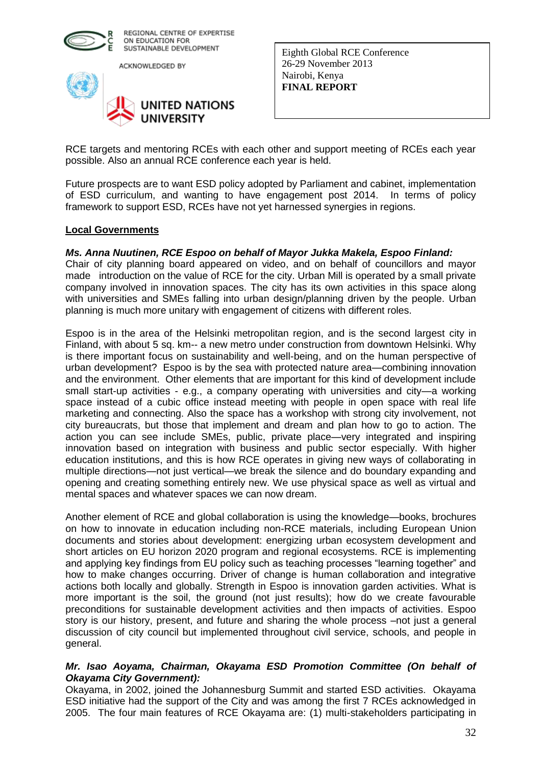

ACKNOWLEDGED BY



Eighth Global RCE Conference 26-29 November 2013 Nairobi, Kenya **FINAL REPORT** 

RCE targets and mentoring RCEs with each other and support meeting of RCEs each year possible. Also an annual RCE conference each year is held.

Future prospects are to want ESD policy adopted by Parliament and cabinet, implementation of ESD curriculum, and wanting to have engagement post 2014. In terms of policy framework to support ESD, RCEs have not yet harnessed synergies in regions.

#### **Local Governments**

## *Ms. Anna Nuutinen, RCE Espoo on behalf of Mayor Jukka Makela, Espoo Finland:*

Chair of city planning board appeared on video, and on behalf of councillors and mayor made introduction on the value of RCE for the city. Urban Mill is operated by a small private company involved in innovation spaces. The city has its own activities in this space along with universities and SMEs falling into urban design/planning driven by the people. Urban planning is much more unitary with engagement of citizens with different roles.

Espoo is in the area of the Helsinki metropolitan region, and is the second largest city in Finland, with about 5 sq. km-- a new metro under construction from downtown Helsinki. Why is there important focus on sustainability and well-being, and on the human perspective of urban development? Espoo is by the sea with protected nature area—combining innovation and the environment. Other elements that are important for this kind of development include small start-up activities - e.g., a company operating with universities and city—a working space instead of a cubic office instead meeting with people in open space with real life marketing and connecting. Also the space has a workshop with strong city involvement, not city bureaucrats, but those that implement and dream and plan how to go to action. The action you can see include SMEs, public, private place—very integrated and inspiring innovation based on integration with business and public sector especially. With higher education institutions, and this is how RCE operates in giving new ways of collaborating in multiple directions—not just vertical—we break the silence and do boundary expanding and opening and creating something entirely new. We use physical space as well as virtual and mental spaces and whatever spaces we can now dream.

Another element of RCE and global collaboration is using the knowledge—books, brochures on how to innovate in education including non-RCE materials, including European Union documents and stories about development: energizing urban ecosystem development and short articles on EU horizon 2020 program and regional ecosystems. RCE is implementing and applying key findings from EU policy such as teaching processes "learning together" and how to make changes occurring. Driver of change is human collaboration and integrative actions both locally and globally. Strength in Espoo is innovation garden activities. What is more important is the soil, the ground (not just results); how do we create favourable preconditions for sustainable development activities and then impacts of activities. Espoo story is our history, present, and future and sharing the whole process –not just a general discussion of city council but implemented throughout civil service, schools, and people in general.

## *Mr. Isao Aoyama, Chairman, Okayama ESD Promotion Committee (On behalf of Okayama City Government):*

Okayama, in 2002, joined the Johannesburg Summit and started ESD activities. Okayama ESD initiative had the support of the City and was among the first 7 RCEs acknowledged in 2005. The four main features of RCE Okayama are: (1) multi-stakeholders participating in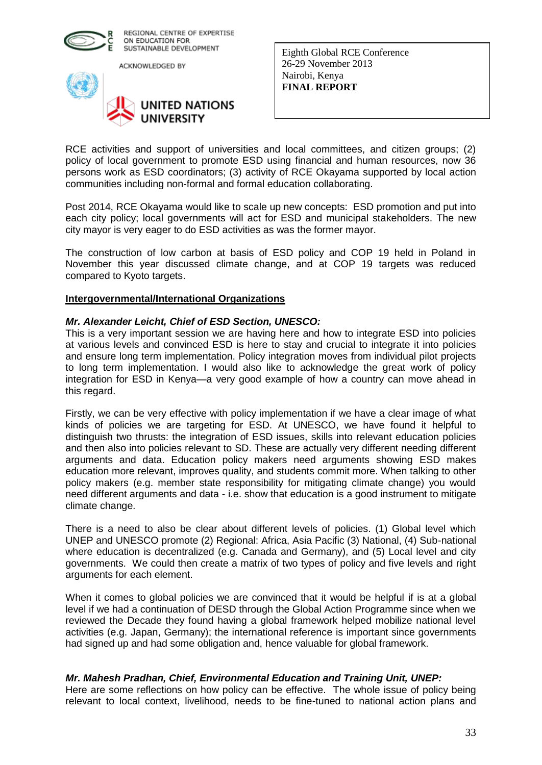

ACKNOWLEDGED BY



Eighth Global RCE Conference 26-29 November 2013 Nairobi, Kenya **FINAL REPORT** 

RCE activities and support of universities and local committees, and citizen groups; (2) policy of local government to promote ESD using financial and human resources, now 36 persons work as ESD coordinators; (3) activity of RCE Okayama supported by local action communities including non-formal and formal education collaborating.

Post 2014, RCE Okayama would like to scale up new concepts: ESD promotion and put into each city policy; local governments will act for ESD and municipal stakeholders. The new city mayor is very eager to do ESD activities as was the former mayor.

The construction of low carbon at basis of ESD policy and COP 19 held in Poland in November this year discussed climate change, and at COP 19 targets was reduced compared to Kyoto targets.

## **Intergovernmental/International Organizations**

## *Mr. Alexander Leicht, Chief of ESD Section, UNESCO:*

This is a very important session we are having here and how to integrate ESD into policies at various levels and convinced ESD is here to stay and crucial to integrate it into policies and ensure long term implementation. Policy integration moves from individual pilot projects to long term implementation. I would also like to acknowledge the great work of policy integration for ESD in Kenya—a very good example of how a country can move ahead in this regard.

Firstly, we can be very effective with policy implementation if we have a clear image of what kinds of policies we are targeting for ESD. At UNESCO, we have found it helpful to distinguish two thrusts: the integration of ESD issues, skills into relevant education policies and then also into policies relevant to SD. These are actually very different needing different arguments and data. Education policy makers need arguments showing ESD makes education more relevant, improves quality, and students commit more. When talking to other policy makers (e.g. member state responsibility for mitigating climate change) you would need different arguments and data - i.e. show that education is a good instrument to mitigate climate change.

There is a need to also be clear about different levels of policies. (1) Global level which UNEP and UNESCO promote (2) Regional: Africa, Asia Pacific (3) National, (4) Sub-national where education is decentralized (e.g. Canada and Germany), and (5) Local level and city governments. We could then create a matrix of two types of policy and five levels and right arguments for each element.

When it comes to global policies we are convinced that it would be helpful if is at a global level if we had a continuation of DESD through the Global Action Programme since when we reviewed the Decade they found having a global framework helped mobilize national level activities (e.g. Japan, Germany); the international reference is important since governments had signed up and had some obligation and, hence valuable for global framework.

## *Mr. Mahesh Pradhan, Chief, Environmental Education and Training Unit, UNEP:*

Here are some reflections on how policy can be effective. The whole issue of policy being relevant to local context, livelihood, needs to be fine-tuned to national action plans and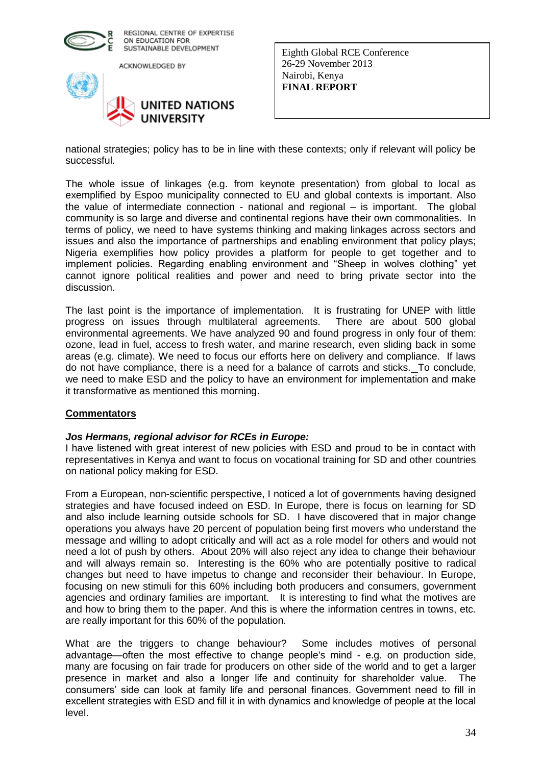

ACKNOWLEDGED BY



Eighth Global RCE Conference 26-29 November 2013 Nairobi, Kenya **FINAL REPORT** 

national strategies; policy has to be in line with these contexts; only if relevant will policy be successful.

The whole issue of linkages (e.g. from keynote presentation) from global to local as exemplified by Espoo municipality connected to EU and global contexts is important. Also the value of intermediate connection - national and regional – is important. The global community is so large and diverse and continental regions have their own commonalities. In terms of policy, we need to have systems thinking and making linkages across sectors and issues and also the importance of partnerships and enabling environment that policy plays; Nigeria exemplifies how policy provides a platform for people to get together and to implement policies. Regarding enabling environment and "Sheep in wolves clothing" yet cannot ignore political realities and power and need to bring private sector into the discussion.

The last point is the importance of implementation. It is frustrating for UNEP with little progress on issues through multilateral agreements. There are about 500 global environmental agreements. We have analyzed 90 and found progress in only four of them: ozone, lead in fuel, access to fresh water, and marine research, even sliding back in some areas (e.g. climate). We need to focus our efforts here on delivery and compliance. If laws do not have compliance, there is a need for a balance of carrots and sticks. To conclude, we need to make ESD and the policy to have an environment for implementation and make it transformative as mentioned this morning.

## **Commentators**

## *Jos Hermans, regional advisor for RCEs in Europe:*

I have listened with great interest of new policies with ESD and proud to be in contact with representatives in Kenya and want to focus on vocational training for SD and other countries on national policy making for ESD.

From a European, non-scientific perspective, I noticed a lot of governments having designed strategies and have focused indeed on ESD. In Europe, there is focus on learning for SD and also include learning outside schools for SD. I have discovered that in major change operations you always have 20 percent of population being first movers who understand the message and willing to adopt critically and will act as a role model for others and would not need a lot of push by others. About 20% will also reject any idea to change their behaviour and will always remain so. Interesting is the 60% who are potentially positive to radical changes but need to have impetus to change and reconsider their behaviour. In Europe, focusing on new stimuli for this 60% including both producers and consumers, government agencies and ordinary families are important. It is interesting to find what the motives are and how to bring them to the paper. And this is where the information centres in towns, etc. are really important for this 60% of the population.

What are the triggers to change behaviour? Some includes motives of personal advantage—often the most effective to change people's mind - e.g. on production side, many are focusing on fair trade for producers on other side of the world and to get a larger presence in market and also a longer life and continuity for shareholder value. The consumers' side can look at family life and personal finances. Government need to fill in excellent strategies with ESD and fill it in with dynamics and knowledge of people at the local level.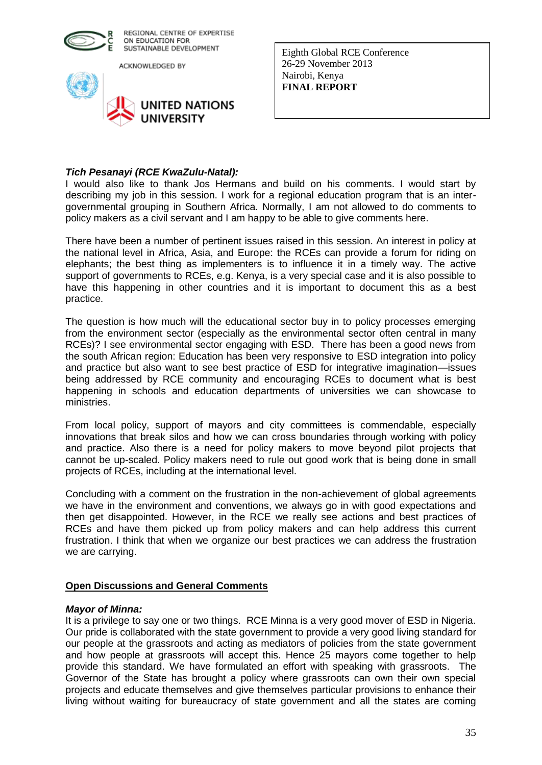

ACKNOWLEDGED BY



Eighth Global RCE Conference 26-29 November 2013 Nairobi, Kenya **FINAL REPORT** 

## *Tich Pesanayi (RCE KwaZulu-Natal):*

I would also like to thank Jos Hermans and build on his comments. I would start by describing my job in this session. I work for a regional education program that is an intergovernmental grouping in Southern Africa. Normally, I am not allowed to do comments to policy makers as a civil servant and I am happy to be able to give comments here.

There have been a number of pertinent issues raised in this session. An interest in policy at the national level in Africa, Asia, and Europe: the RCEs can provide a forum for riding on elephants; the best thing as implementers is to influence it in a timely way. The active support of governments to RCEs, e.g. Kenya, is a very special case and it is also possible to have this happening in other countries and it is important to document this as a best practice.

The question is how much will the educational sector buy in to policy processes emerging from the environment sector (especially as the environmental sector often central in many RCEs)? I see environmental sector engaging with ESD. There has been a good news from the south African region: Education has been very responsive to ESD integration into policy and practice but also want to see best practice of ESD for integrative imagination—issues being addressed by RCE community and encouraging RCEs to document what is best happening in schools and education departments of universities we can showcase to ministries.

From local policy, support of mayors and city committees is commendable, especially innovations that break silos and how we can cross boundaries through working with policy and practice. Also there is a need for policy makers to move beyond pilot projects that cannot be up-scaled. Policy makers need to rule out good work that is being done in small projects of RCEs, including at the international level.

Concluding with a comment on the frustration in the non-achievement of global agreements we have in the environment and conventions, we always go in with good expectations and then get disappointed. However, in the RCE we really see actions and best practices of RCEs and have them picked up from policy makers and can help address this current frustration. I think that when we organize our best practices we can address the frustration we are carrying.

## **Open Discussions and General Comments**

## *Mayor of Minna:*

It is a privilege to say one or two things. RCE Minna is a very good mover of ESD in Nigeria. Our pride is collaborated with the state government to provide a very good living standard for our people at the grassroots and acting as mediators of policies from the state government and how people at grassroots will accept this. Hence 25 mayors come together to help provide this standard. We have formulated an effort with speaking with grassroots. The Governor of the State has brought a policy where grassroots can own their own special projects and educate themselves and give themselves particular provisions to enhance their living without waiting for bureaucracy of state government and all the states are coming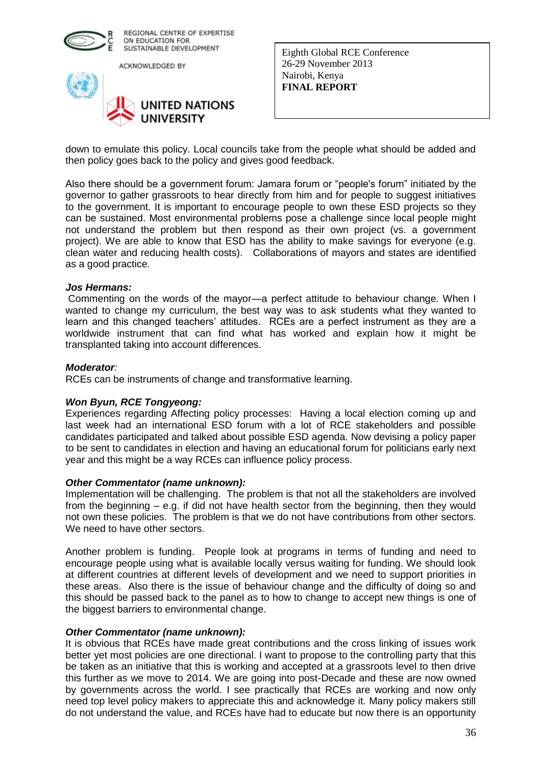

ACKNOWLEDGED BY



Eighth Global RCE Conference 26-29 November 2013 Nairobi, Kenya **FINAL REPORT** 

down to emulate this policy. Local councils take from the people what should be added and then policy goes back to the policy and gives good feedback.

Also there should be a government forum: Jamara forum or "people's forum" initiated by the governor to gather grassroots to hear directly from him and for people to suggest initiatives to the government. It is important to encourage people to own these ESD projects so they can be sustained. Most environmental problems pose a challenge since local people might not understand the problem but then respond as their own project (vs. a government project). We are able to know that ESD has the ability to make savings for everyone (e.g. clean water and reducing health costs). Collaborations of mayors and states are identified as a good practice.

#### *Jos Hermans:*

Commenting on the words of the mayor—a perfect attitude to behaviour change. When I wanted to change my curriculum, the best way was to ask students what they wanted to learn and this changed teachers' attitudes. RCEs are a perfect instrument as they are a worldwide instrument that can find what has worked and explain how it might be transplanted taking into account differences.

#### *Moderator:*

RCEs can be instruments of change and transformative learning.

## *Won Byun, RCE Tongyeong:*

Experiences regarding Affecting policy processes: Having a local election coming up and last week had an international ESD forum with a lot of RCE stakeholders and possible candidates participated and talked about possible ESD agenda. Now devising a policy paper to be sent to candidates in election and having an educational forum for politicians early next year and this might be a way RCEs can influence policy process.

#### *Other Commentator (name unknown):*

Implementation will be challenging. The problem is that not all the stakeholders are involved from the beginning – e.g. if did not have health sector from the beginning, then they would not own these policies. The problem is that we do not have contributions from other sectors. We need to have other sectors.

Another problem is funding. People look at programs in terms of funding and need to encourage people using what is available locally versus waiting for funding. We should look at different countries at different levels of development and we need to support priorities in these areas. Also there is the issue of behaviour change and the difficulty of doing so and this should be passed back to the panel as to how to change to accept new things is one of the biggest barriers to environmental change.

#### *Other Commentator (name unknown):*

It is obvious that RCEs have made great contributions and the cross linking of issues work better yet most policies are one directional. I want to propose to the controlling party that this be taken as an initiative that this is working and accepted at a grassroots level to then drive this further as we move to 2014. We are going into post-Decade and these are now owned by governments across the world. I see practically that RCEs are working and now only need top level policy makers to appreciate this and acknowledge it. Many policy makers still do not understand the value, and RCEs have had to educate but now there is an opportunity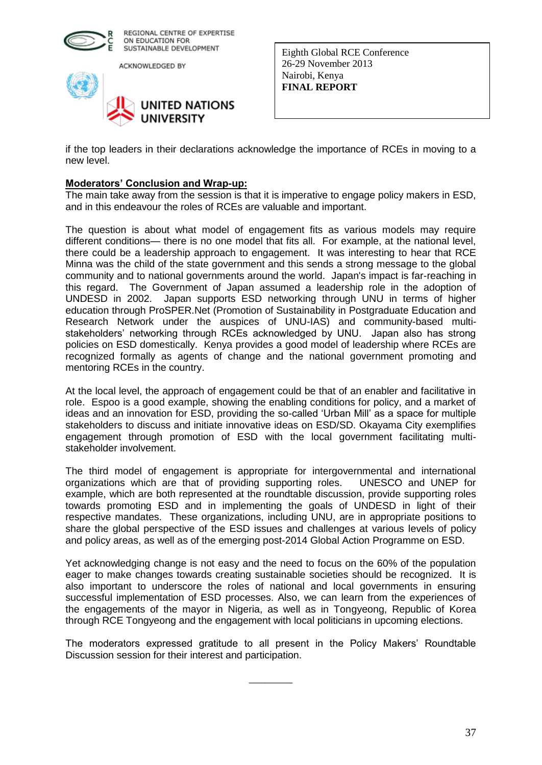

ACKNOWLEDGED BY



Eighth Global RCE Conference 26-29 November 2013 Nairobi, Kenya **FINAL REPORT** 

if the top leaders in their declarations acknowledge the importance of RCEs in moving to a new level.

#### **Moderators' Conclusion and Wrap-up:**

The main take away from the session is that it is imperative to engage policy makers in ESD, and in this endeavour the roles of RCEs are valuable and important.

The question is about what model of engagement fits as various models may require different conditions— there is no one model that fits all. For example, at the national level, there could be a leadership approach to engagement. It was interesting to hear that RCE Minna was the child of the state government and this sends a strong message to the global community and to national governments around the world. Japan's impact is far-reaching in this regard. The Government of Japan assumed a leadership role in the adoption of UNDESD in 2002. Japan supports ESD networking through UNU in terms of higher education through ProSPER.Net (Promotion of Sustainability in Postgraduate Education and Research Network under the auspices of UNU-IAS) and community-based multistakeholders' networking through RCEs acknowledged by UNU. Japan also has strong policies on ESD domestically. Kenya provides a good model of leadership where RCEs are recognized formally as agents of change and the national government promoting and mentoring RCEs in the country.

At the local level, the approach of engagement could be that of an enabler and facilitative in role. Espoo is a good example, showing the enabling conditions for policy, and a market of ideas and an innovation for ESD, providing the so-called 'Urban Mill' as a space for multiple stakeholders to discuss and initiate innovative ideas on ESD/SD. Okayama City exemplifies engagement through promotion of ESD with the local government facilitating multistakeholder involvement.

The third model of engagement is appropriate for intergovernmental and international organizations which are that of providing supporting roles. UNESCO and UNEP for example, which are both represented at the roundtable discussion, provide supporting roles towards promoting ESD and in implementing the goals of UNDESD in light of their respective mandates. These organizations, including UNU, are in appropriate positions to share the global perspective of the ESD issues and challenges at various levels of policy and policy areas, as well as of the emerging post-2014 Global Action Programme on ESD.

Yet acknowledging change is not easy and the need to focus on the 60% of the population eager to make changes towards creating sustainable societies should be recognized. It is also important to underscore the roles of national and local governments in ensuring successful implementation of ESD processes. Also, we can learn from the experiences of the engagements of the mayor in Nigeria, as well as in Tongyeong, Republic of Korea through RCE Tongyeong and the engagement with local politicians in upcoming elections.

The moderators expressed gratitude to all present in the Policy Makers' Roundtable Discussion session for their interest and participation.

 $\overline{\phantom{a}}$  ,  $\overline{\phantom{a}}$  ,  $\overline{\phantom{a}}$  ,  $\overline{\phantom{a}}$  ,  $\overline{\phantom{a}}$  ,  $\overline{\phantom{a}}$  ,  $\overline{\phantom{a}}$  ,  $\overline{\phantom{a}}$  ,  $\overline{\phantom{a}}$  ,  $\overline{\phantom{a}}$  ,  $\overline{\phantom{a}}$  ,  $\overline{\phantom{a}}$  ,  $\overline{\phantom{a}}$  ,  $\overline{\phantom{a}}$  ,  $\overline{\phantom{a}}$  ,  $\overline{\phantom{a}}$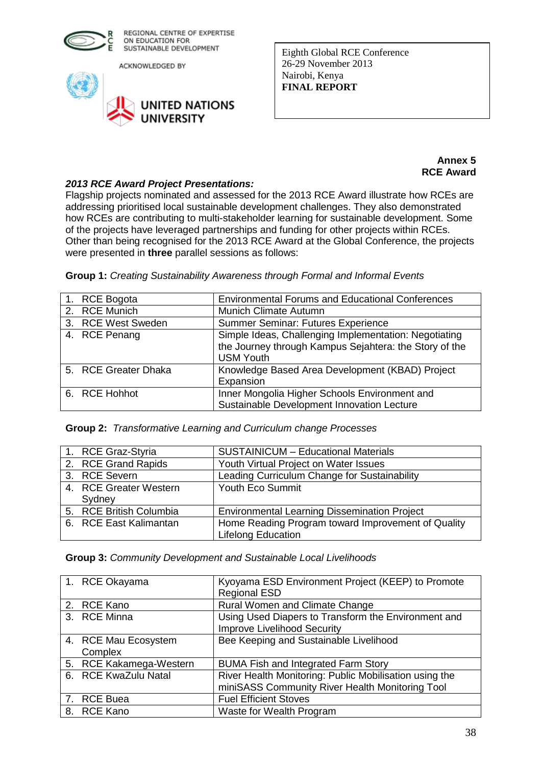

ACKNOWLEDGED BY



Eighth Global RCE Conference 26-29 November 2013 Nairobi, Kenya **FINAL REPORT** 

## **Annex 5 RCE Award**

## *2013 RCE Award Project Presentations:*

Flagship projects nominated and assessed for the 2013 RCE Award illustrate how RCEs are addressing prioritised local sustainable development challenges. They also demonstrated how RCEs are contributing to multi-stakeholder learning for sustainable development. Some of the projects have leveraged partnerships and funding for other projects within RCEs. Other than being recognised for the 2013 RCE Award at the Global Conference, the projects were presented in **three** parallel sessions as follows:

|  | Group 1: Creating Sustainability Awareness through Formal and Informal Events |  |  |  |
|--|-------------------------------------------------------------------------------|--|--|--|
|  |                                                                               |  |  |  |

| 1. RCE Bogota        | <b>Environmental Forums and Educational Conferences</b> |
|----------------------|---------------------------------------------------------|
| 2. RCE Munich        | <b>Munich Climate Autumn</b>                            |
| 3. RCE West Sweden   | <b>Summer Seminar: Futures Experience</b>               |
| 4. RCE Penang        | Simple Ideas, Challenging Implementation: Negotiating   |
|                      | the Journey through Kampus Sejahtera: the Story of the  |
|                      | <b>USM Youth</b>                                        |
| 5. RCE Greater Dhaka | Knowledge Based Area Development (KBAD) Project         |
|                      | Expansion                                               |
| 6. RCE Hohhot        | Inner Mongolia Higher Schools Environment and           |
|                      | Sustainable Development Innovation Lecture              |

|  | Group 2: Transformative Learning and Curriculum change Processes |  |  |  |  |
|--|------------------------------------------------------------------|--|--|--|--|
|--|------------------------------------------------------------------|--|--|--|--|

| 1. RCE Graz-Styria      | <b>SUSTAINICUM - Educational Materials</b>          |
|-------------------------|-----------------------------------------------------|
| 2. RCE Grand Rapids     | Youth Virtual Project on Water Issues               |
| 3. RCE Severn           | Leading Curriculum Change for Sustainability        |
| 4. RCE Greater Western  | <b>Youth Eco Summit</b>                             |
| Sydney                  |                                                     |
| 5. RCE British Columbia | <b>Environmental Learning Dissemination Project</b> |
| 6. RCE East Kalimantan  | Home Reading Program toward Improvement of Quality  |
|                         | <b>Lifelong Education</b>                           |

| 1. RCE Okayama          | Kyoyama ESD Environment Project (KEEP) to Promote      |
|-------------------------|--------------------------------------------------------|
|                         | <b>Regional ESD</b>                                    |
| 2. RCE Kano             | Rural Women and Climate Change                         |
| 3. RCE Minna            | Using Used Diapers to Transform the Environment and    |
|                         | <b>Improve Livelihood Security</b>                     |
| 4. RCE Mau Ecosystem    | Bee Keeping and Sustainable Livelihood                 |
| Complex                 |                                                        |
| 5. RCE Kakamega-Western | <b>BUMA Fish and Integrated Farm Story</b>             |
| 6. RCE KwaZulu Natal    | River Health Monitoring: Public Mobilisation using the |
|                         | miniSASS Community River Health Monitoring Tool        |
| 7. RCE Buea             | <b>Fuel Efficient Stoves</b>                           |
| 8. RCE Kano             | Waste for Wealth Program                               |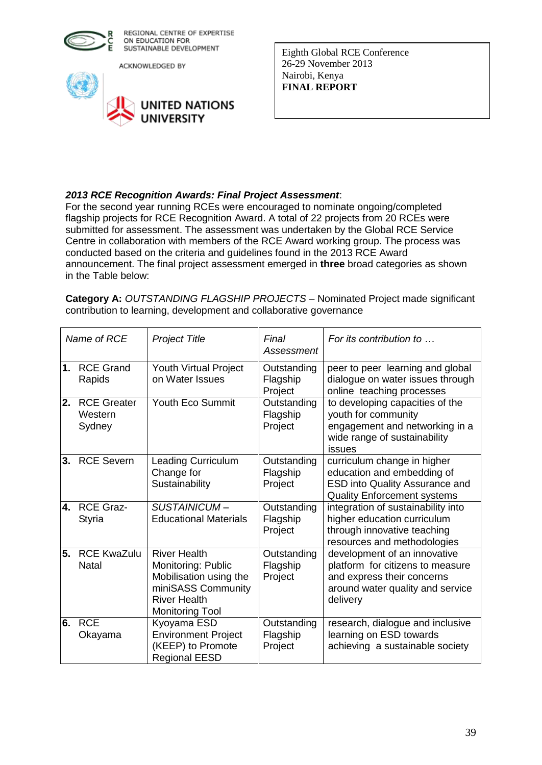

ACKNOWLEDGED BY



Eighth Global RCE Conference 26-29 November 2013 Nairobi, Kenya **FINAL REPORT** 

## *2013 RCE Recognition Awards: Final Project Assessment*:

For the second year running RCEs were encouraged to nominate ongoing/completed flagship projects for RCE Recognition Award. A total of 22 projects from 20 RCEs were submitted for assessment. The assessment was undertaken by the Global RCE Service Centre in collaboration with members of the RCE Award working group. The process was conducted based on the criteria and guidelines found in the 2013 RCE Award announcement. The final project assessment emerged in **three** broad categories as shown in the Table below:

| <b>Category A: OUTSTANDING FLAGSHIP PROJECTS – Nominated Project made significant</b> |  |
|---------------------------------------------------------------------------------------|--|
| contribution to learning, development and collaborative governance                    |  |

| Name of RCE |                                         | <b>Project Title</b>                                                                                                                       | Final<br>Assessment                | For its contribution to                                                                                                                        |
|-------------|-----------------------------------------|--------------------------------------------------------------------------------------------------------------------------------------------|------------------------------------|------------------------------------------------------------------------------------------------------------------------------------------------|
| 1.          | <b>RCE Grand</b><br>Rapids              | <b>Youth Virtual Project</b><br>on Water Issues                                                                                            | Outstanding<br>Flagship<br>Project | peer to peer learning and global<br>dialogue on water issues through<br>online teaching processes                                              |
| 2.          | <b>RCE Greater</b><br>Western<br>Sydney | Youth Eco Summit                                                                                                                           | Outstanding<br>Flagship<br>Project | to developing capacities of the<br>youth for community<br>engagement and networking in a<br>wide range of sustainability<br>issues             |
| 3.          | <b>RCE Severn</b>                       | <b>Leading Curriculum</b><br>Change for<br>Sustainability                                                                                  | Outstanding<br>Flagship<br>Project | curriculum change in higher<br>education and embedding of<br><b>ESD into Quality Assurance and</b><br><b>Quality Enforcement systems</b>       |
| 4.          | <b>RCE Graz-</b><br>Styria              | SUSTAINICUM-<br><b>Educational Materials</b>                                                                                               | Outstanding<br>Flagship<br>Project | integration of sustainability into<br>higher education curriculum<br>through innovative teaching<br>resources and methodologies                |
| 5.          | <b>RCE KwaZulu</b><br><b>Natal</b>      | <b>River Health</b><br>Monitoring: Public<br>Mobilisation using the<br>miniSASS Community<br><b>River Health</b><br><b>Monitoring Tool</b> | Outstanding<br>Flagship<br>Project | development of an innovative<br>platform for citizens to measure<br>and express their concerns<br>around water quality and service<br>delivery |
| 6.          | <b>RCE</b><br>Okayama                   | Kyoyama ESD<br><b>Environment Project</b><br>(KEEP) to Promote<br><b>Regional EESD</b>                                                     | Outstanding<br>Flagship<br>Project | research, dialogue and inclusive<br>learning on ESD towards<br>achieving a sustainable society                                                 |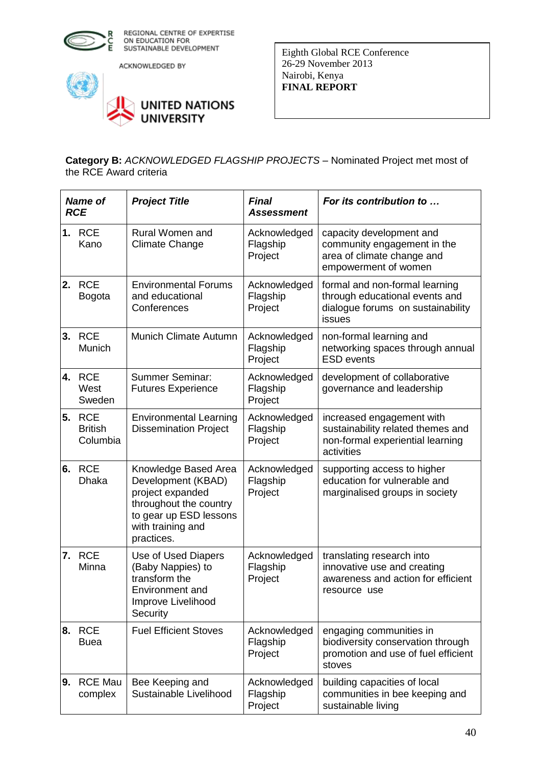

ACKNOWLEDGED BY



Eighth Global RCE Conference 26-29 November 2013 Nairobi, Kenya **FINAL REPORT** 

**Category B:** *ACKNOWLEDGED FLAGSHIP PROJECTS* – Nominated Project met most of the RCE Award criteria

| <b>Name of</b><br><b>RCE</b> |                                          | <b>Project Title</b>                                                                                                                                  | <b>Final</b><br><b>Assessment</b>   | For its contribution to                                                                                          |  |
|------------------------------|------------------------------------------|-------------------------------------------------------------------------------------------------------------------------------------------------------|-------------------------------------|------------------------------------------------------------------------------------------------------------------|--|
| 1.                           | <b>RCE</b><br>Kano                       | Rural Women and<br><b>Climate Change</b>                                                                                                              | Acknowledged<br>Flagship<br>Project | capacity development and<br>community engagement in the<br>area of climate change and<br>empowerment of women    |  |
| 2.                           | <b>RCE</b><br><b>Bogota</b>              | <b>Environmental Forums</b><br>and educational<br>Conferences                                                                                         | Acknowledged<br>Flagship<br>Project | formal and non-formal learning<br>through educational events and<br>dialogue forums on sustainability<br>issues  |  |
| 3.                           | <b>RCE</b><br>Munich                     | Munich Climate Autumn                                                                                                                                 | Acknowledged<br>Flagship<br>Project | non-formal learning and<br>networking spaces through annual<br><b>ESD</b> events                                 |  |
| 4.                           | <b>RCE</b><br>West<br>Sweden             | <b>Summer Seminar:</b><br><b>Futures Experience</b>                                                                                                   | Acknowledged<br>Flagship<br>Project | development of collaborative<br>governance and leadership                                                        |  |
| 5.                           | <b>RCE</b><br><b>British</b><br>Columbia | <b>Environmental Learning</b><br><b>Dissemination Project</b>                                                                                         | Acknowledged<br>Flagship<br>Project | increased engagement with<br>sustainability related themes and<br>non-formal experiential learning<br>activities |  |
| 6.                           | <b>RCE</b><br><b>Dhaka</b>               | Knowledge Based Area<br>Development (KBAD)<br>project expanded<br>throughout the country<br>to gear up ESD lessons<br>with training and<br>practices. | Acknowledged<br>Flagship<br>Project | supporting access to higher<br>education for vulnerable and<br>marginalised groups in society                    |  |
|                              | 7. RCE<br>Minna                          | Use of Used Diapers<br>(Baby Nappies) to<br>transform the<br>Environment and<br>Improve Livelihood<br>Security                                        | Acknowledged<br>Flagship<br>Project | translating research into<br>innovative use and creating<br>awareness and action for efficient<br>resource use   |  |
|                              | <b>8. RCE</b><br><b>Buea</b>             | <b>Fuel Efficient Stoves</b>                                                                                                                          | Acknowledged<br>Flagship<br>Project | engaging communities in<br>biodiversity conservation through<br>promotion and use of fuel efficient<br>stoves    |  |
| 19.                          | <b>RCE Mau</b><br>complex                | Bee Keeping and<br>Sustainable Livelihood                                                                                                             | Acknowledged<br>Flagship<br>Project | building capacities of local<br>communities in bee keeping and<br>sustainable living                             |  |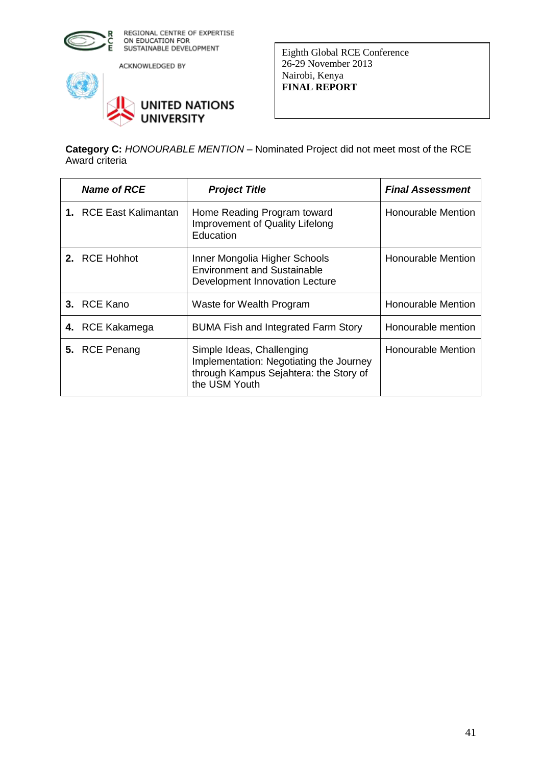

ACKNOWLEDGED BY



Eighth Global RCE Conference 26-29 November 2013 Nairobi, Kenya **FINAL REPORT** 

**Category C:** *HONOURABLE MENTION* – Nominated Project did not meet most of the RCE Award criteria

| <b>Name of RCE</b>            | <b>Project Title</b>                                                                                                            | <b>Final Assessment</b> |
|-------------------------------|---------------------------------------------------------------------------------------------------------------------------------|-------------------------|
| <b>1.</b> RCE East Kalimantan | Home Reading Program toward<br>Improvement of Quality Lifelong<br>Education                                                     | Honourable Mention      |
| 2. RCE Hohhot                 | Inner Mongolia Higher Schools<br><b>Environment and Sustainable</b><br>Development Innovation Lecture                           | Honourable Mention      |
| 3. RCE Kano                   | Waste for Wealth Program                                                                                                        | Honourable Mention      |
| 4. RCE Kakamega               | <b>BUMA Fish and Integrated Farm Story</b>                                                                                      | Honourable mention      |
| 5. RCE Penang                 | Simple Ideas, Challenging<br>Implementation: Negotiating the Journey<br>through Kampus Sejahtera: the Story of<br>the USM Youth | Honourable Mention      |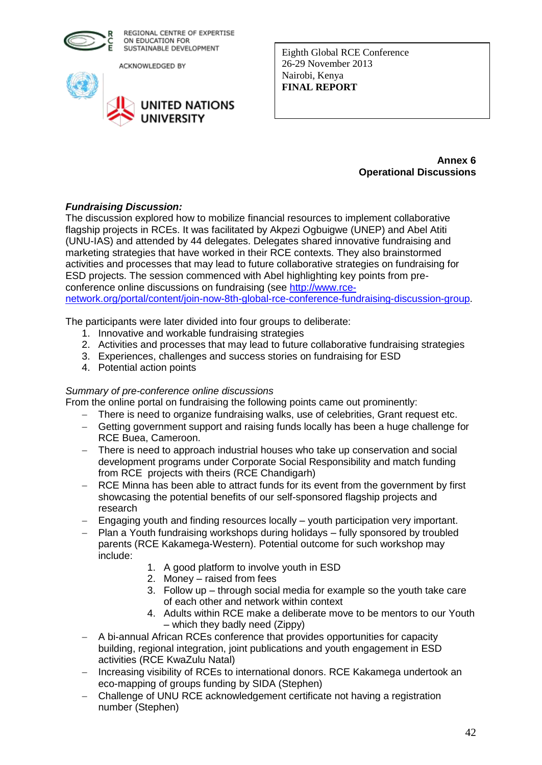

ACKNOWLEDGED BY



Eighth Global RCE Conference 26-29 November 2013 Nairobi, Kenya **FINAL REPORT** 

#### **Annex 6 Operational Discussions**

## *Fundraising Discussion:*

The discussion explored how to mobilize financial resources to implement collaborative flagship projects in RCEs. It was facilitated by Akpezi Ogbuigwe (UNEP) and Abel Atiti (UNU-IAS) and attended by 44 delegates. Delegates shared innovative fundraising and marketing strategies that have worked in their RCE contexts. They also brainstormed activities and processes that may lead to future collaborative strategies on fundraising for ESD projects. The session commenced with Abel highlighting key points from preconference online discussions on fundraising (see [http://www.rce](http://www.rce-network.org/portal/content/join-now-8th-global-rce-conference-fundraising-discussion-group)[network.org/portal/content/join-now-8th-global-rce-conference-fundraising-discussion-group.](http://www.rce-network.org/portal/content/join-now-8th-global-rce-conference-fundraising-discussion-group)

The participants were later divided into four groups to deliberate:

- 1. Innovative and workable fundraising strategies
- 2. Activities and processes that may lead to future collaborative fundraising strategies
- 3. Experiences, challenges and success stories on fundraising for ESD
- 4. Potential action points

## *Summary of pre-conference online discussions*

From the online portal on fundraising the following points came out prominently:

- There is need to organize fundraising walks, use of celebrities, Grant request etc.
- Getting government support and raising funds locally has been a huge challenge for RCE Buea, Cameroon.
- There is need to approach industrial houses who take up conservation and social development programs under Corporate Social Responsibility and match funding from RCE projects with theirs (RCE Chandigarh)
- RCE Minna has been able to attract funds for its event from the government by first showcasing the potential benefits of our self-sponsored flagship projects and research
- Engaging youth and finding resources locally youth participation very important.
- Plan a Youth fundraising workshops during holidays fully sponsored by troubled parents (RCE Kakamega-Western). Potential outcome for such workshop may include:
	- 1. A good platform to involve youth in ESD
	- 2. Money raised from fees
	- 3. Follow up through social media for example so the youth take care of each other and network within context
	- 4. Adults within RCE make a deliberate move to be mentors to our Youth – which they badly need (Zippy)
- A bi-annual African RCEs conference that provides opportunities for capacity building, regional integration, joint publications and youth engagement in ESD activities (RCE KwaZulu Natal)
- Increasing visibility of RCEs to international donors. RCE Kakamega undertook an eco-mapping of groups funding by SIDA (Stephen)
- Challenge of UNU RCE acknowledgement certificate not having a registration number (Stephen)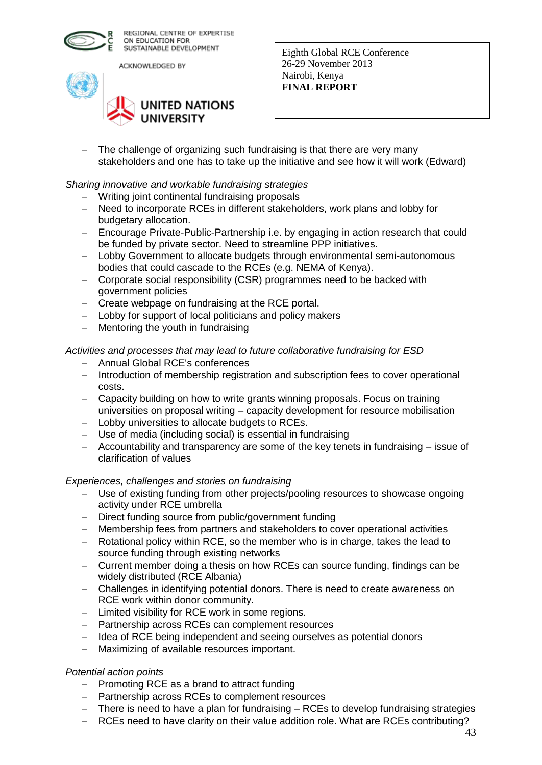

ACKNOWLEDGED BY



Eighth Global RCE Conference 26-29 November 2013 Nairobi, Kenya **FINAL REPORT** 

- The challenge of organizing such fundraising is that there are very many stakeholders and one has to take up the initiative and see how it will work (Edward)

## *Sharing innovative and workable fundraising strategies*

- Writing joint continental fundraising proposals
- Need to incorporate RCEs in different stakeholders, work plans and lobby for budgetary allocation.
- Encourage Private-Public-Partnership i.e. by engaging in action research that could be funded by private sector. Need to streamline PPP initiatives.
- Lobby Government to allocate budgets through environmental semi-autonomous bodies that could cascade to the RCEs (e.g. NEMA of Kenya).
- Corporate social responsibility (CSR) programmes need to be backed with government policies
- Create webpage on fundraising at the RCE portal.
- Lobby for support of local politicians and policy makers
- Mentoring the youth in fundraising

## *Activities and processes that may lead to future collaborative fundraising for ESD*

- Annual Global RCE's conferences
- Introduction of membership registration and subscription fees to cover operational costs.
- Capacity building on how to write grants winning proposals. Focus on training universities on proposal writing – capacity development for resource mobilisation
- Lobby universities to allocate budgets to RCEs.
- Use of media (including social) is essential in fundraising
- Accountability and transparency are some of the key tenets in fundraising issue of clarification of values

## *Experiences, challenges and stories on fundraising*

- Use of existing funding from other projects/pooling resources to showcase ongoing activity under RCE umbrella
- Direct funding source from public/government funding
- Membership fees from partners and stakeholders to cover operational activities
- Rotational policy within RCE, so the member who is in charge, takes the lead to source funding through existing networks
- Current member doing a thesis on how RCEs can source funding, findings can be widely distributed (RCE Albania)
- Challenges in identifying potential donors. There is need to create awareness on RCE work within donor community.
- $-$  Limited visibility for RCE work in some regions.
- Partnership across RCEs can complement resources
- Idea of RCE being independent and seeing ourselves as potential donors
- Maximizing of available resources important.

#### *Potential action points*

- $-$  Promoting RCE as a brand to attract funding
- Partnership across RCEs to complement resources
- There is need to have a plan for fundraising RCEs to develop fundraising strategies
- RCEs need to have clarity on their value addition role. What are RCEs contributing?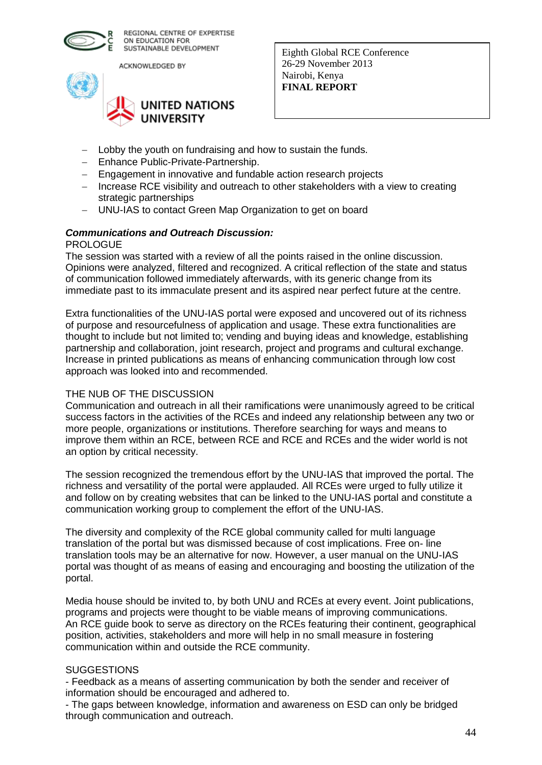

ACKNOWLEDGED BY



Eighth Global RCE Conference 26-29 November 2013 Nairobi, Kenya **FINAL REPORT** 

- Lobby the youth on fundraising and how to sustain the funds.
- Enhance Public-Private-Partnership.
- Engagement in innovative and fundable action research projects
- Increase RCE visibility and outreach to other stakeholders with a view to creating strategic partnerships
- UNU-IAS to contact Green Map Organization to get on board

# *Communications and Outreach Discussion:*

## PROLOGUE

The session was started with a review of all the points raised in the online discussion. Opinions were analyzed, filtered and recognized. A critical reflection of the state and status of communication followed immediately afterwards, with its generic change from its immediate past to its immaculate present and its aspired near perfect future at the centre.

Extra functionalities of the UNU-IAS portal were exposed and uncovered out of its richness of purpose and resourcefulness of application and usage. These extra functionalities are thought to include but not limited to; vending and buying ideas and knowledge, establishing partnership and collaboration, joint research, project and programs and cultural exchange. Increase in printed publications as means of enhancing communication through low cost approach was looked into and recommended.

## THE NUB OF THE DISCUSSION

Communication and outreach in all their ramifications were unanimously agreed to be critical success factors in the activities of the RCEs and indeed any relationship between any two or more people, organizations or institutions. Therefore searching for ways and means to improve them within an RCE, between RCE and RCE and RCEs and the wider world is not an option by critical necessity.

The session recognized the tremendous effort by the UNU-IAS that improved the portal. The richness and versatility of the portal were applauded. All RCEs were urged to fully utilize it and follow on by creating websites that can be linked to the UNU-IAS portal and constitute a communication working group to complement the effort of the UNU-IAS.

The diversity and complexity of the RCE global community called for multi language translation of the portal but was dismissed because of cost implications. Free on- line translation tools may be an alternative for now. However, a user manual on the UNU-IAS portal was thought of as means of easing and encouraging and boosting the utilization of the portal.

Media house should be invited to, by both UNU and RCEs at every event. Joint publications, programs and projects were thought to be viable means of improving communications. An RCE guide book to serve as directory on the RCEs featuring their continent, geographical position, activities, stakeholders and more will help in no small measure in fostering communication within and outside the RCE community.

## **SUGGESTIONS**

- Feedback as a means of asserting communication by both the sender and receiver of information should be encouraged and adhered to.

- The gaps between knowledge, information and awareness on ESD can only be bridged through communication and outreach.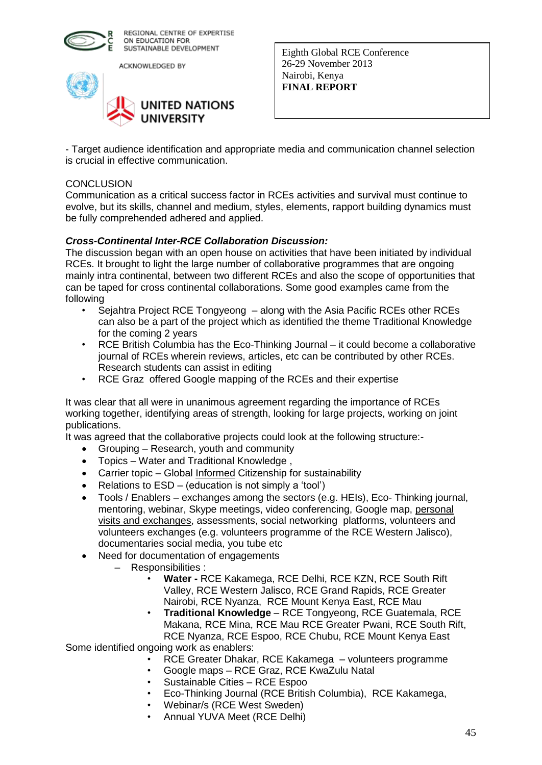

ACKNOWLEDGED BY



Eighth Global RCE Conference 26-29 November 2013 Nairobi, Kenya **FINAL REPORT** 

- Target audience identification and appropriate media and communication channel selection is crucial in effective communication.

#### **CONCLUSION**

Communication as a critical success factor in RCEs activities and survival must continue to evolve, but its skills, channel and medium, styles, elements, rapport building dynamics must be fully comprehended adhered and applied.

## *Cross-Continental Inter-RCE Collaboration Discussion:*

The discussion began with an open house on activities that have been initiated by individual RCEs. It brought to light the large number of collaborative programmes that are ongoing mainly intra continental, between two different RCEs and also the scope of opportunities that can be taped for cross continental collaborations. Some good examples came from the following

- Sejahtra Project RCE Tongyeong along with the Asia Pacific RCEs other RCEs can also be a part of the project which as identified the theme Traditional Knowledge for the coming 2 years
- RCE British Columbia has the Eco-Thinking Journal it could become a collaborative journal of RCEs wherein reviews, articles, etc can be contributed by other RCEs. Research students can assist in editing
- RCE Graz offered Google mapping of the RCEs and their expertise

It was clear that all were in unanimous agreement regarding the importance of RCEs working together, identifying areas of strength, looking for large projects, working on joint publications.

It was agreed that the collaborative projects could look at the following structure:-

- Grouping Research, youth and community
- Topics Water and Traditional Knowledge ,
- Carrier topic Global Informed Citizenship for sustainability
- Relations to  $ESD (education is not simply a 'tool')$
- Tools / Enablers exchanges among the sectors (e.g. HEIs), Eco- Thinking journal, mentoring, webinar, Skype meetings, video conferencing, Google map, personal visits and exchanges, assessments, social networking platforms, volunteers and volunteers exchanges (e.g. volunteers programme of the RCE Western Jalisco), documentaries social media, you tube etc
- Need for documentation of engagements
	- Responsibilities :
		- **Water -** RCE Kakamega, RCE Delhi, RCE KZN, RCE South Rift Valley, RCE Western Jalisco, RCE Grand Rapids, RCE Greater Nairobi, RCE Nyanza, RCE Mount Kenya East, RCE Mau
		- **Traditional Knowledge** RCE Tongyeong, RCE Guatemala, RCE Makana, RCE Mina, RCE Mau RCE Greater Pwani, RCE South Rift, RCE Nyanza, RCE Espoo, RCE Chubu, RCE Mount Kenya East

Some identified ongoing work as enablers:

- RCE Greater Dhakar, RCE Kakamega volunteers programme
- Google maps RCE Graz, RCE KwaZulu Natal
- Sustainable Cities RCE Espoo
- Eco-Thinking Journal (RCE British Columbia), RCE Kakamega,
- Webinar/s (RCE West Sweden)
- Annual YUVA Meet (RCE Delhi)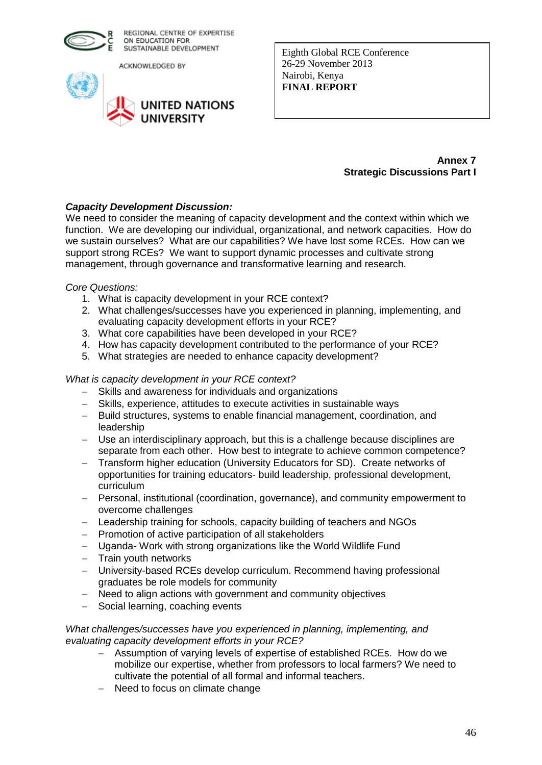

ACKNOWLEDGED BY



Eighth Global RCE Conference 26-29 November 2013 Nairobi, Kenya **FINAL REPORT** 

#### **Annex 7 Strategic Discussions Part I**

## *Capacity Development Discussion:*

We need to consider the meaning of capacity development and the context within which we function. We are developing our individual, organizational, and network capacities. How do we sustain ourselves? What are our capabilities? We have lost some RCEs. How can we support strong RCEs? We want to support dynamic processes and cultivate strong management, through governance and transformative learning and research.

*Core Questions:*

- 1. What is capacity development in your RCE context?
- 2. What challenges/successes have you experienced in planning, implementing, and evaluating capacity development efforts in your RCE?
- 3. What core capabilities have been developed in your RCE?
- 4. How has capacity development contributed to the performance of your RCE?
- 5. What strategies are needed to enhance capacity development?

## *What is capacity development in your RCE context?*

- Skills and awareness for individuals and organizations
- Skills, experience, attitudes to execute activities in sustainable ways
- Build structures, systems to enable financial management, coordination, and leadership
- Use an interdisciplinary approach, but this is a challenge because disciplines are separate from each other. How best to integrate to achieve common competence?
- Transform higher education (University Educators for SD). Create networks of opportunities for training educators- build leadership, professional development, curriculum
- Personal, institutional (coordination, governance), and community empowerment to overcome challenges
- Leadership training for schools, capacity building of teachers and NGOs
- Promotion of active participation of all stakeholders
- Uganda- Work with strong organizations like the World Wildlife Fund
- $-$  Train youth networks
- University-based RCEs develop curriculum. Recommend having professional graduates be role models for community
- Need to align actions with government and community objectives
- Social learning, coaching events

#### *What challenges/successes have you experienced in planning, implementing, and evaluating capacity development efforts in your RCE?*

- Assumption of varying levels of expertise of established RCEs. How do we mobilize our expertise, whether from professors to local farmers? We need to cultivate the potential of all formal and informal teachers.
- Need to focus on climate change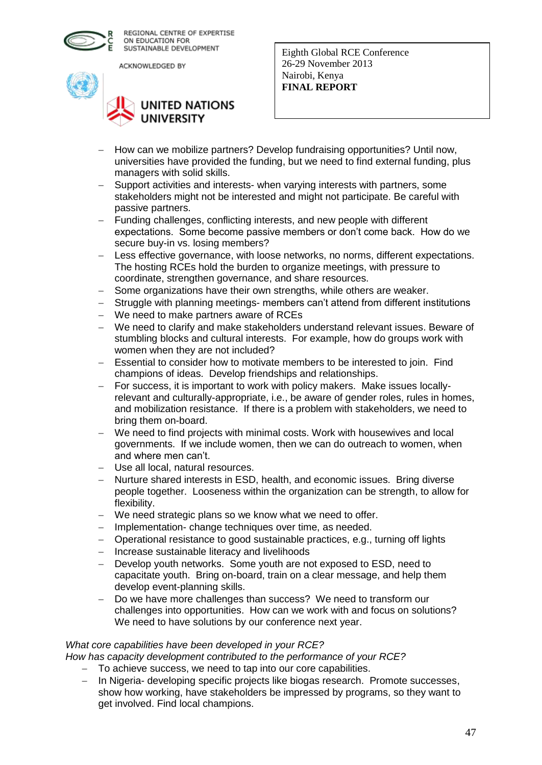

ACKNOWLEDGED BY



# **UNITED NATIONS UNIVERSITY**

Eighth Global RCE Conference 26-29 November 2013 Nairobi, Kenya **FINAL REPORT** 

- How can we mobilize partners? Develop fundraising opportunities? Until now, universities have provided the funding, but we need to find external funding, plus managers with solid skills.
- Support activities and interests- when varying interests with partners, some stakeholders might not be interested and might not participate. Be careful with passive partners.
- Funding challenges, conflicting interests, and new people with different expectations. Some become passive members or don't come back. How do we secure buy-in vs. losing members?
- Less effective governance, with loose networks, no norms, different expectations. The hosting RCEs hold the burden to organize meetings, with pressure to coordinate, strengthen governance, and share resources.
- Some organizations have their own strengths, while others are weaker.
- Struggle with planning meetings- members can't attend from different institutions
- We need to make partners aware of RCEs
- We need to clarify and make stakeholders understand relevant issues. Beware of stumbling blocks and cultural interests. For example, how do groups work with women when they are not included?
- Essential to consider how to motivate members to be interested to join. Find champions of ideas. Develop friendships and relationships.
- For success, it is important to work with policy makers. Make issues locallyrelevant and culturally-appropriate, i.e., be aware of gender roles, rules in homes, and mobilization resistance. If there is a problem with stakeholders, we need to bring them on-board.
- We need to find projects with minimal costs. Work with housewives and local governments. If we include women, then we can do outreach to women, when and where men can't.
- Use all local, natural resources.
- Nurture shared interests in ESD, health, and economic issues. Bring diverse people together. Looseness within the organization can be strength, to allow for flexibility.
- We need strategic plans so we know what we need to offer.
- Implementation- change techniques over time, as needed.
- Operational resistance to good sustainable practices, e.g., turning off lights
- Increase sustainable literacy and livelihoods
- Develop youth networks. Some youth are not exposed to ESD, need to capacitate youth. Bring on-board, train on a clear message, and help them develop event-planning skills.
- Do we have more challenges than success? We need to transform our challenges into opportunities. How can we work with and focus on solutions? We need to have solutions by our conference next year.

## *What core capabilities have been developed in your RCE?*

*How has capacity development contributed to the performance of your RCE?*

- To achieve success, we need to tap into our core capabilities.
- In Nigeria- developing specific projects like biogas research. Promote successes, show how working, have stakeholders be impressed by programs, so they want to get involved. Find local champions.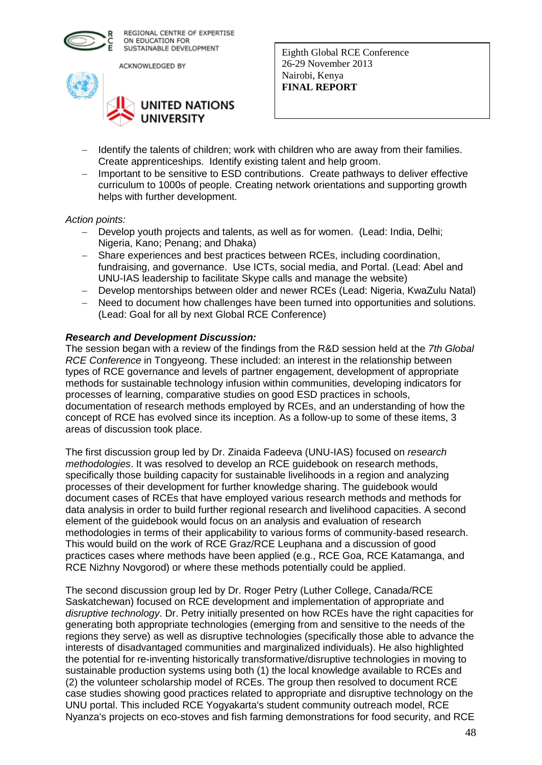

ACKNOWLEDGED BY



Eighth Global RCE Conference 26-29 November 2013 Nairobi, Kenya **FINAL REPORT** 

- Identify the talents of children; work with children who are away from their families. Create apprenticeships. Identify existing talent and help groom.
- Important to be sensitive to ESD contributions. Create pathways to deliver effective curriculum to 1000s of people. Creating network orientations and supporting growth helps with further development.

#### *Action points:*

- Develop youth projects and talents, as well as for women. (Lead: India, Delhi; Nigeria, Kano; Penang; and Dhaka)
- Share experiences and best practices between RCEs, including coordination, fundraising, and governance. Use ICTs, social media, and Portal. (Lead: Abel and UNU-IAS leadership to facilitate Skype calls and manage the website)
- Develop mentorships between older and newer RCEs (Lead: Nigeria, KwaZulu Natal)
- Need to document how challenges have been turned into opportunities and solutions. (Lead: Goal for all by next Global RCE Conference)

#### *Research and Development Discussion:*

The session began with a review of the findings from the R&D session held at the *7th Global RCE Conference* in Tongyeong. These included: an interest in the relationship between types of RCE governance and levels of partner engagement, development of appropriate methods for sustainable technology infusion within communities, developing indicators for processes of learning, comparative studies on good ESD practices in schools, documentation of research methods employed by RCEs, and an understanding of how the concept of RCE has evolved since its inception. As a follow-up to some of these items, 3 areas of discussion took place.

The first discussion group led by Dr. Zinaida Fadeeva (UNU-IAS) focused on *research methodologies*. It was resolved to develop an RCE guidebook on research methods, specifically those building capacity for sustainable livelihoods in a region and analyzing processes of their development for further knowledge sharing. The guidebook would document cases of RCEs that have employed various research methods and methods for data analysis in order to build further regional research and livelihood capacities. A second element of the guidebook would focus on an analysis and evaluation of research methodologies in terms of their applicability to various forms of community-based research. This would build on the work of RCE Graz/RCE Leuphana and a discussion of good practices cases where methods have been applied (e.g., RCE Goa, RCE Katamanga, and RCE Nizhny Novgorod) or where these methods potentially could be applied.

The second discussion group led by Dr. Roger Petry (Luther College, Canada/RCE Saskatchewan) focused on RCE development and implementation of appropriate and *disruptive technology*. Dr. Petry initially presented on how RCEs have the right capacities for generating both appropriate technologies (emerging from and sensitive to the needs of the regions they serve) as well as disruptive technologies (specifically those able to advance the interests of disadvantaged communities and marginalized individuals). He also highlighted the potential for re-inventing historically transformative/disruptive technologies in moving to sustainable production systems using both (1) the local knowledge available to RCEs and (2) the volunteer scholarship model of RCEs. The group then resolved to document RCE case studies showing good practices related to appropriate and disruptive technology on the UNU portal. This included RCE Yogyakarta's student community outreach model, RCE Nyanza's projects on eco-stoves and fish farming demonstrations for food security, and RCE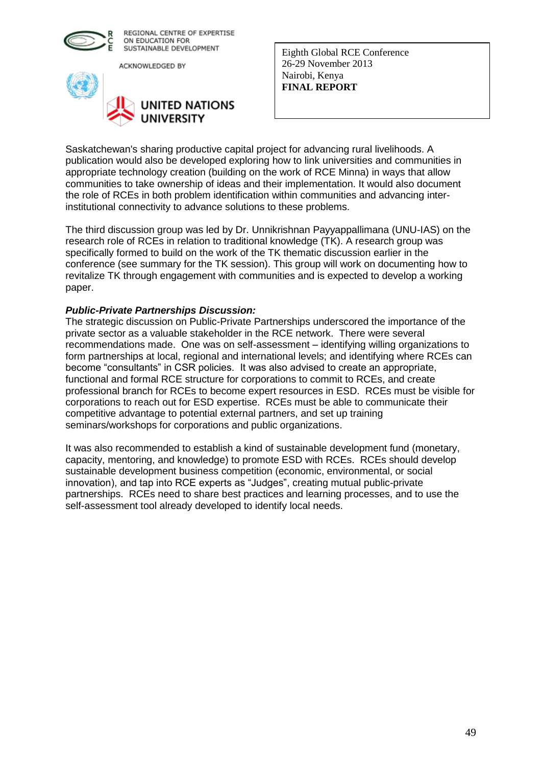

ACKNOWLEDGED BY



Eighth Global RCE Conference 26-29 November 2013 Nairobi, Kenya **FINAL REPORT** 

Saskatchewan's sharing productive capital project for advancing rural livelihoods. A publication would also be developed exploring how to link universities and communities in appropriate technology creation (building on the work of RCE Minna) in ways that allow communities to take ownership of ideas and their implementation. It would also document the role of RCEs in both problem identification within communities and advancing interinstitutional connectivity to advance solutions to these problems.

The third discussion group was led by Dr. Unnikrishnan Payyappallimana (UNU-IAS) on the research role of RCEs in relation to traditional knowledge (TK). A research group was specifically formed to build on the work of the TK thematic discussion earlier in the conference (see summary for the TK session). This group will work on documenting how to revitalize TK through engagement with communities and is expected to develop a working paper.

#### *Public-Private Partnerships Discussion:*

The strategic discussion on Public-Private Partnerships underscored the importance of the private sector as a valuable stakeholder in the RCE network. There were several recommendations made. One was on self-assessment – identifying willing organizations to form partnerships at local, regional and international levels; and identifying where RCEs can become "consultants" in CSR policies. It was also advised to create an appropriate, functional and formal RCE structure for corporations to commit to RCEs, and create professional branch for RCEs to become expert resources in ESD. RCEs must be visible for corporations to reach out for ESD expertise. RCEs must be able to communicate their competitive advantage to potential external partners, and set up training seminars/workshops for corporations and public organizations.

It was also recommended to establish a kind of sustainable development fund (monetary, capacity, mentoring, and knowledge) to promote ESD with RCEs. RCEs should develop sustainable development business competition (economic, environmental, or social innovation), and tap into RCE experts as "Judges", creating mutual public-private partnerships. RCEs need to share best practices and learning processes, and to use the self-assessment tool already developed to identify local needs.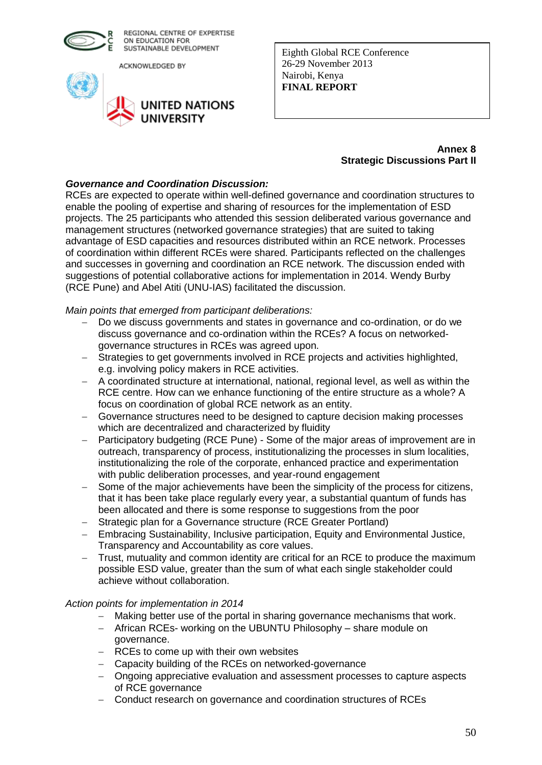

ACKNOWLEDGED BY



Eighth Global RCE Conference 26-29 November 2013 Nairobi, Kenya **FINAL REPORT** 

#### **Annex 8 Strategic Discussions Part II**

## *Governance and Coordination Discussion:*

RCEs are expected to operate within well-defined governance and coordination structures to enable the pooling of expertise and sharing of resources for the implementation of ESD projects. The 25 participants who attended this session deliberated various governance and management structures (networked governance strategies) that are suited to taking advantage of ESD capacities and resources distributed within an RCE network. Processes of coordination within different RCEs were shared. Participants reflected on the challenges and successes in governing and coordination an RCE network. The discussion ended with suggestions of potential collaborative actions for implementation in 2014. Wendy Burby (RCE Pune) and Abel Atiti (UNU-IAS) facilitated the discussion.

*Main points that emerged from participant deliberations:*

- Do we discuss governments and states in governance and co-ordination, or do we discuss governance and co-ordination within the RCEs? A focus on networkedgovernance structures in RCEs was agreed upon.
- Strategies to get governments involved in RCE projects and activities highlighted, e.g. involving policy makers in RCE activities.
- A coordinated structure at international, national, regional level, as well as within the RCE centre. How can we enhance functioning of the entire structure as a whole? A focus on coordination of global RCE network as an entity.
- Governance structures need to be designed to capture decision making processes which are decentralized and characterized by fluidity
- Participatory budgeting (RCE Pune) Some of the major areas of improvement are in outreach, transparency of process, institutionalizing the processes in slum localities, institutionalizing the role of the corporate, enhanced practice and experimentation with public deliberation processes, and year-round engagement
- Some of the major achievements have been the simplicity of the process for citizens, that it has been take place regularly every year, a substantial quantum of funds has been allocated and there is some response to suggestions from the poor
- Strategic plan for a Governance structure (RCE Greater Portland)
- Embracing Sustainability, Inclusive participation, Equity and Environmental Justice, Transparency and Accountability as core values.
- Trust, mutuality and common identity are critical for an RCE to produce the maximum possible ESD value, greater than the sum of what each single stakeholder could achieve without collaboration.

## *Action points for implementation in 2014*

- Making better use of the portal in sharing governance mechanisms that work.
- African RCEs- working on the UBUNTU Philosophy share module on governance.
- RCEs to come up with their own websites
- Capacity building of the RCEs on networked-governance
- Ongoing appreciative evaluation and assessment processes to capture aspects of RCE governance
- Conduct research on governance and coordination structures of RCEs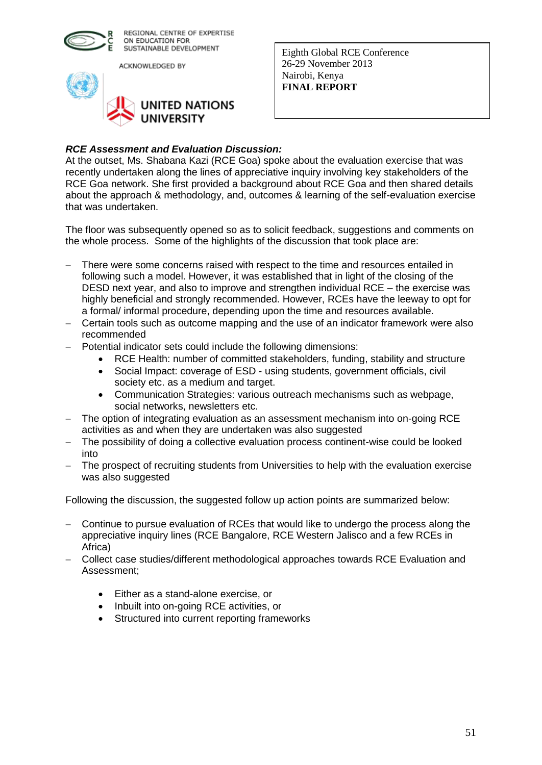

ACKNOWLEDGED BY



Eighth Global RCE Conference 26-29 November 2013 Nairobi, Kenya **FINAL REPORT** 

## *RCE Assessment and Evaluation Discussion:*

At the outset, Ms. Shabana Kazi (RCE Goa) spoke about the evaluation exercise that was recently undertaken along the lines of appreciative inquiry involving key stakeholders of the RCE Goa network. She first provided a background about RCE Goa and then shared details about the approach & methodology, and, outcomes & learning of the self-evaluation exercise that was undertaken.

The floor was subsequently opened so as to solicit feedback, suggestions and comments on the whole process. Some of the highlights of the discussion that took place are:

- There were some concerns raised with respect to the time and resources entailed in following such a model. However, it was established that in light of the closing of the DESD next year, and also to improve and strengthen individual RCE – the exercise was highly beneficial and strongly recommended. However, RCEs have the leeway to opt for a formal/ informal procedure, depending upon the time and resources available.
- Certain tools such as outcome mapping and the use of an indicator framework were also recommended
- Potential indicator sets could include the following dimensions:
	- RCE Health: number of committed stakeholders, funding, stability and structure
	- Social Impact: coverage of ESD using students, government officials, civil society etc. as a medium and target.
	- Communication Strategies: various outreach mechanisms such as webpage, social networks, newsletters etc.
- The option of integrating evaluation as an assessment mechanism into on-going RCE activities as and when they are undertaken was also suggested
- The possibility of doing a collective evaluation process continent-wise could be looked into
- The prospect of recruiting students from Universities to help with the evaluation exercise was also suggested

Following the discussion, the suggested follow up action points are summarized below:

- Continue to pursue evaluation of RCEs that would like to undergo the process along the appreciative inquiry lines (RCE Bangalore, RCE Western Jalisco and a few RCEs in Africa)
- Collect case studies/different methodological approaches towards RCE Evaluation and Assessment;
	- Either as a stand-alone exercise, or
	- Inbuilt into on-going RCE activities, or
	- Structured into current reporting frameworks